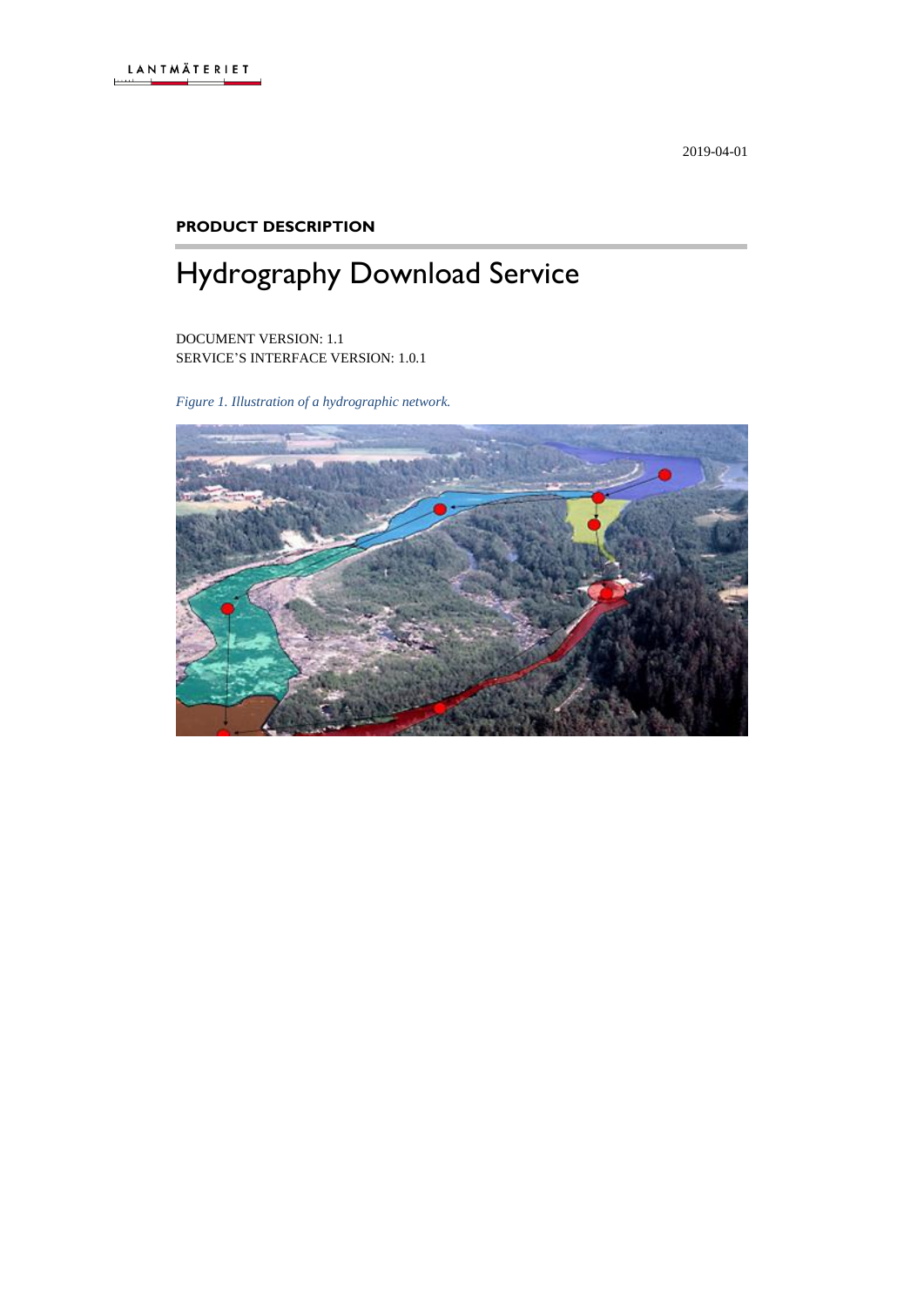2019-04-01

#### **PRODUCT DESCRIPTION**

# Hydrography Download Service

DOCUMENT VERSION: 1.1 SERVICE'S INTERFACE VERSION: 1.0.1

*Figure 1. Illustration of a hydrographic network.*

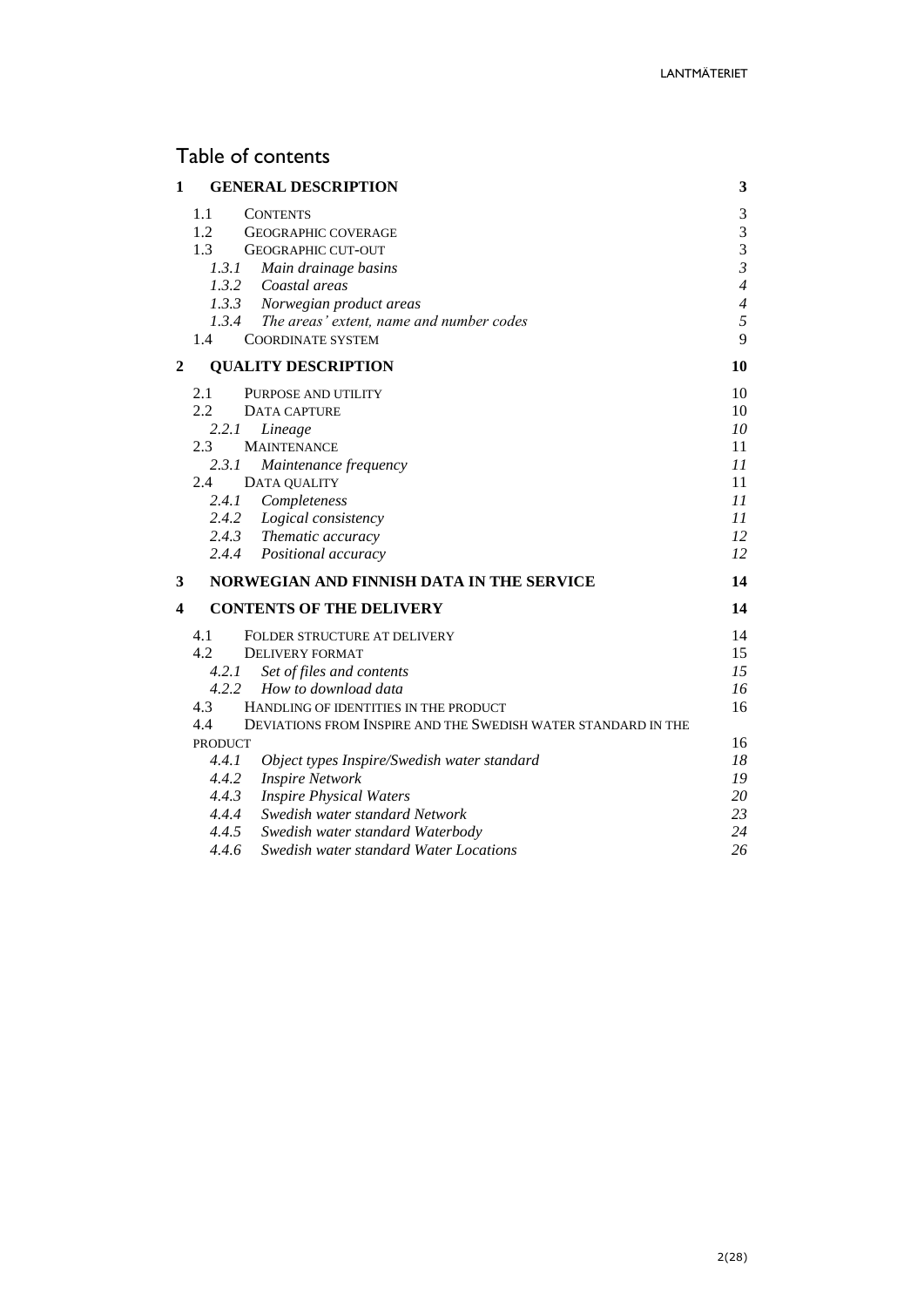# Table of contents

| $\mathbf{1}$ | <b>GENERAL DESCRIPTION</b>                                           | 3              |
|--------------|----------------------------------------------------------------------|----------------|
|              | 1.1<br><b>CONTENTS</b>                                               | 3              |
|              | 1.2<br><b>GEOGRAPHIC COVERAGE</b>                                    | 3              |
|              | 1.3<br><b>GEOGRAPHIC CUT-OUT</b>                                     | 3              |
|              | 1.3.1<br>Main drainage basins                                        | $\overline{3}$ |
|              | 1.3.2<br>Coastal areas                                               | $\overline{4}$ |
|              | 1.3.3 Norwegian product areas                                        | $\overline{4}$ |
|              | 1.3.4 The areas' extent, name and number codes                       | 5              |
|              | 1.4<br><b>COORDINATE SYSTEM</b>                                      | 9              |
| 2            | <b>QUALITY DESCRIPTION</b>                                           | 10             |
|              | 2.1<br>PURPOSE AND UTILITY                                           | 10             |
|              | 2.2<br>DATA CAPTURE                                                  | 10             |
|              | 2.2.1<br>Lineage                                                     | 10             |
|              | 2.3<br><b>MAINTENANCE</b>                                            | 11             |
|              | 2.3.1<br>Maintenance frequency                                       | 11             |
|              | 2.4<br>DATA QUALITY                                                  | 11             |
|              | 2.4.1<br>Completeness                                                | 11             |
|              | 2.4.2<br>Logical consistency                                         | 11             |
|              | 2.4.3 Thematic accuracy                                              | 12             |
|              | 2.4.4<br>Positional accuracy                                         | 12             |
| 3            | NORWEGIAN AND FINNISH DATA IN THE SERVICE                            | 14             |
| 4            | <b>CONTENTS OF THE DELIVERY</b>                                      | 14             |
|              | 4.1<br>FOLDER STRUCTURE AT DELIVERY                                  | 14             |
|              | 4.2<br><b>DELIVERY FORMAT</b>                                        | 15             |
|              | 4.2.1<br>Set of files and contents                                   | 15             |
|              | 4.2.2<br>How to download data                                        | 16             |
|              | 4.3<br>HANDLING OF IDENTITIES IN THE PRODUCT                         | 16             |
|              | 4.4<br>DEVIATIONS FROM INSPIRE AND THE SWEDISH WATER STANDARD IN THE |                |
|              | <b>PRODUCT</b>                                                       | 16             |
|              | 4.4.1<br>Object types Inspire/Swedish water standard                 | 18             |
|              | 4.4.2<br><b>Inspire Network</b>                                      | 19             |
|              | 4.4.3<br><b>Inspire Physical Waters</b>                              | 20             |
|              | 4.4.4<br>Swedish water standard Network                              | 23             |
|              | 4.4.5<br>Swedish water standard Waterbody                            | 24             |
|              | 4.4.6<br>Swedish water standard Water Locations                      | 26             |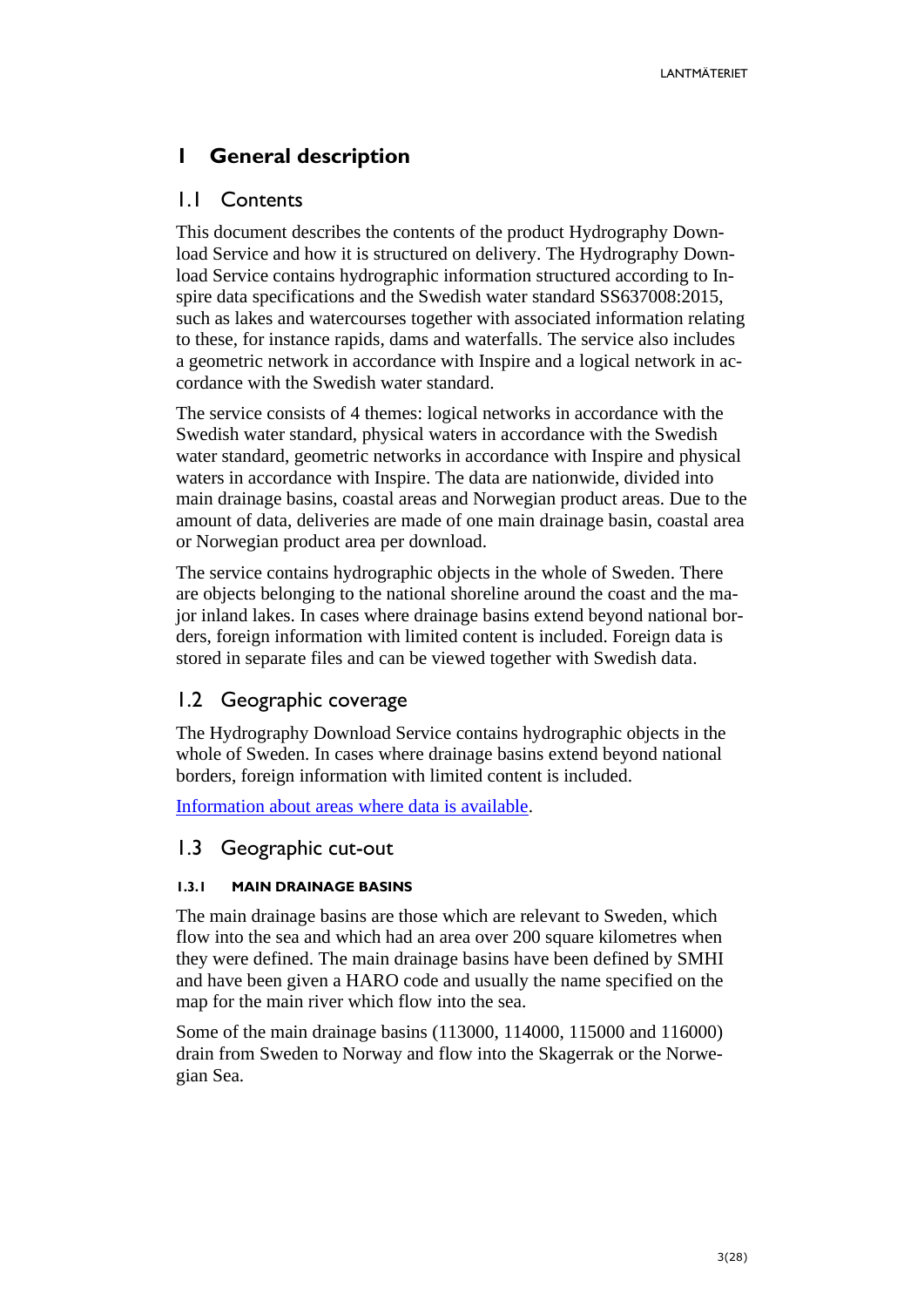# <span id="page-2-0"></span>**1 General description**

### <span id="page-2-1"></span>1.1 Contents

This document describes the contents of the product Hydrography Download Service and how it is structured on delivery. The Hydrography Download Service contains hydrographic information structured according to Inspire data specifications and the Swedish water standard SS637008:2015, such as lakes and watercourses together with associated information relating to these, for instance rapids, dams and waterfalls. The service also includes a geometric network in accordance with Inspire and a logical network in accordance with the Swedish water standard.

The service consists of 4 themes: logical networks in accordance with the Swedish water standard, physical waters in accordance with the Swedish water standard, geometric networks in accordance with Inspire and physical waters in accordance with Inspire. The data are nationwide, divided into main drainage basins, coastal areas and Norwegian product areas. Due to the amount of data, deliveries are made of one main drainage basin, coastal area or Norwegian product area per download.

The service contains hydrographic objects in the whole of Sweden. There are objects belonging to the national shoreline around the coast and the major inland lakes. In cases where drainage basins extend beyond national borders, foreign information with limited content is included. Foreign data is stored in separate files and can be viewed together with Swedish data.

# <span id="page-2-2"></span>1.2 Geographic coverage

The Hydrography Download Service contains hydrographic objects in the whole of Sweden. In cases where drainage basins extend beyond national borders, foreign information with limited content is included.

[Information about areas where data is available.](https://www.lantmateriet.se/globalassets/om-lantmateriet/var-samverkan-med-andra/hydro_lev-klart.pdf)

# <span id="page-2-3"></span>1.3 Geographic cut-out

#### <span id="page-2-4"></span>**1.3.1 MAIN DRAINAGE BASINS**

The main drainage basins are those which are relevant to Sweden, which flow into the sea and which had an area over 200 square kilometres when they were defined. The main drainage basins have been defined by SMHI and have been given a HARO code and usually the name specified on the map for the main river which flow into the sea.

Some of the main drainage basins (113000, 114000, 115000 and 116000) drain from Sweden to Norway and flow into the Skagerrak or the Norwegian Sea.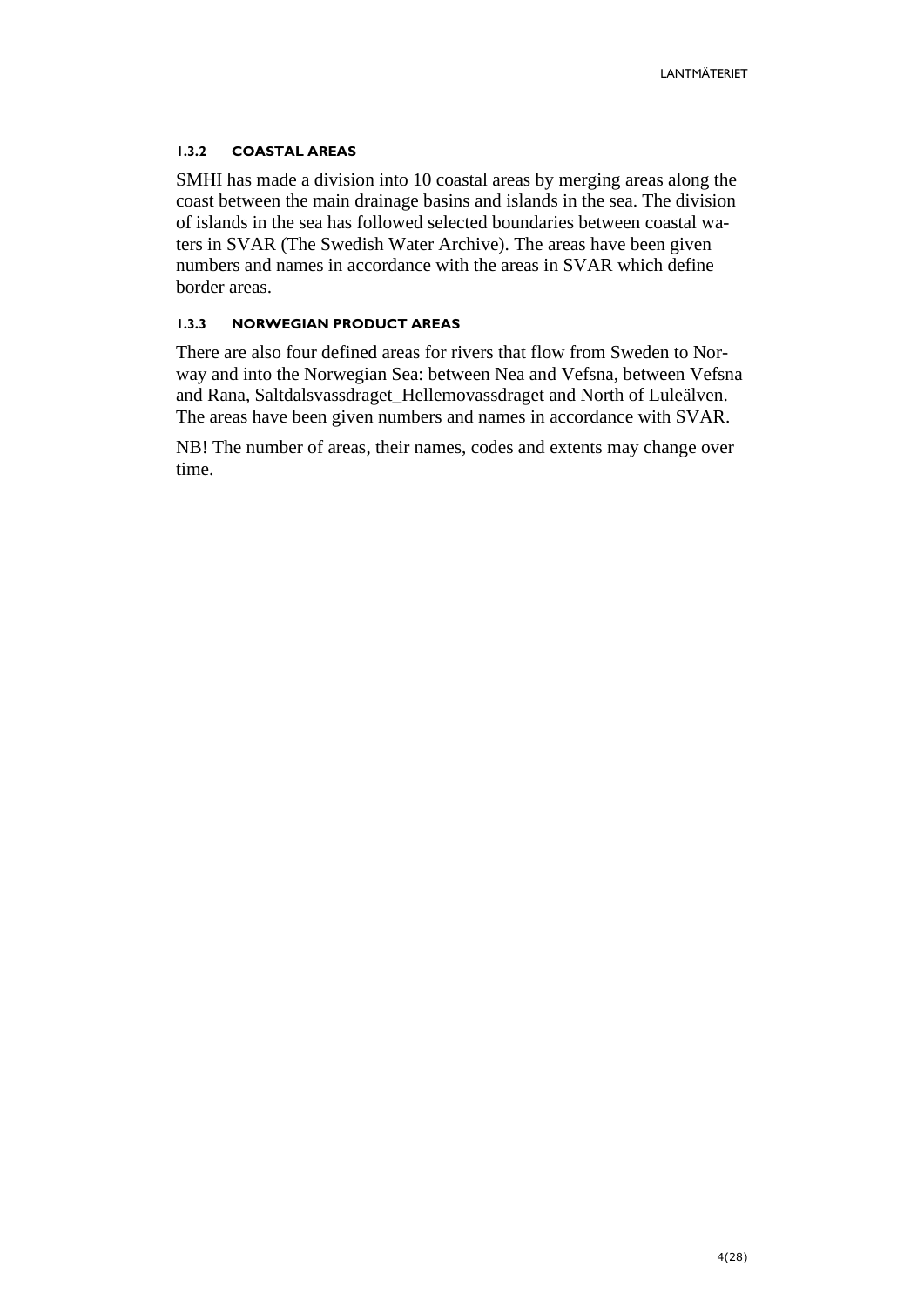#### <span id="page-3-0"></span>**1.3.2 COASTAL AREAS**

SMHI has made a division into 10 coastal areas by merging areas along the coast between the main drainage basins and islands in the sea. The division of islands in the sea has followed selected boundaries between coastal waters in SVAR (The Swedish Water Archive). The areas have been given numbers and names in accordance with the areas in SVAR which define border areas.

#### <span id="page-3-1"></span>**1.3.3 NORWEGIAN PRODUCT AREAS**

There are also four defined areas for rivers that flow from Sweden to Norway and into the Norwegian Sea: between Nea and Vefsna, between Vefsna and Rana, Saltdalsvassdraget\_Hellemovassdraget and North of Luleälven. The areas have been given numbers and names in accordance with SVAR.

NB! The number of areas, their names, codes and extents may change over time.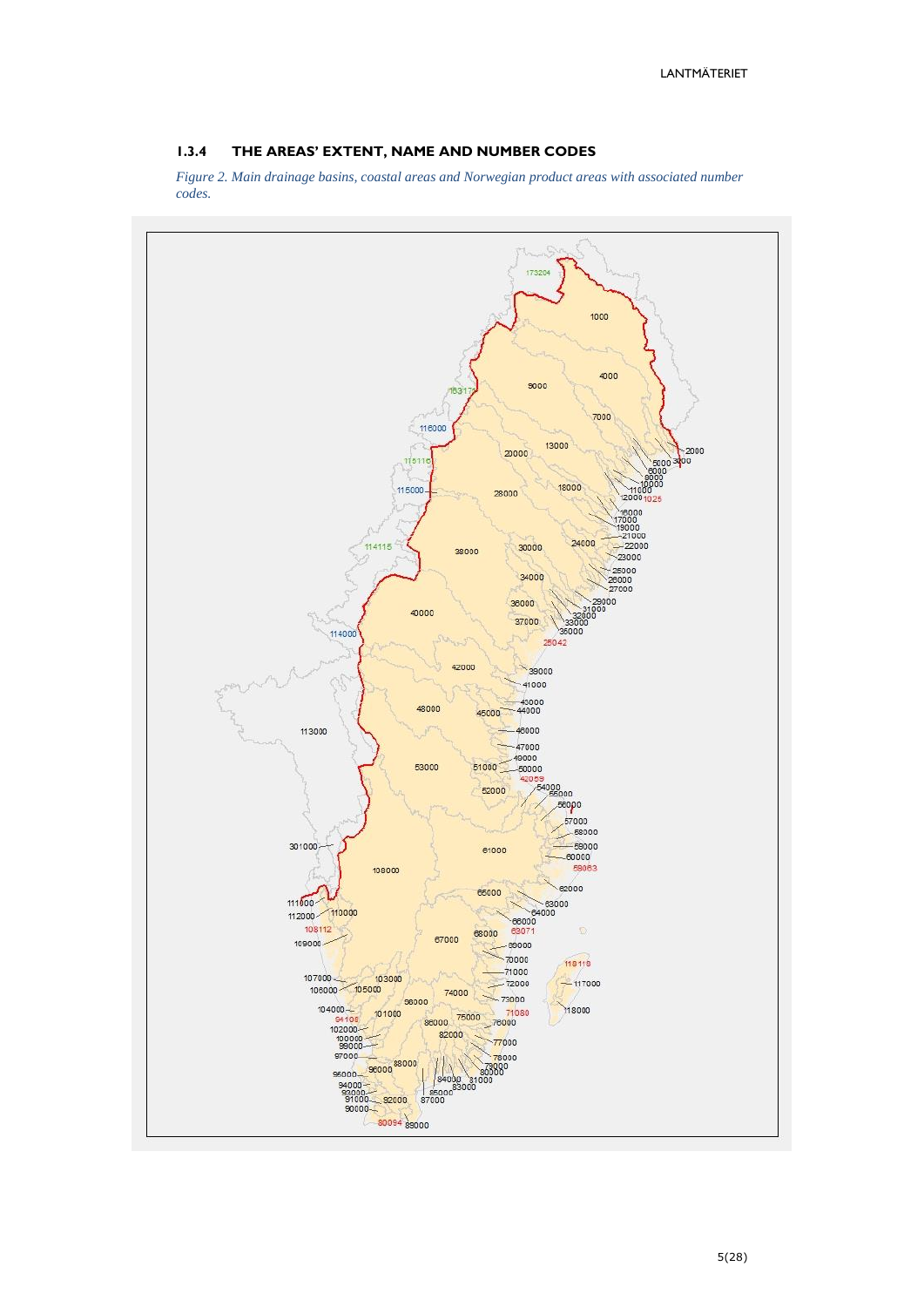#### <span id="page-4-0"></span>**1.3.4 THE AREAS' EXTENT, NAME AND NUMBER CODES**

*Figure 2. Main drainage basins, coastal areas and Norwegian product areas with associated number codes.*

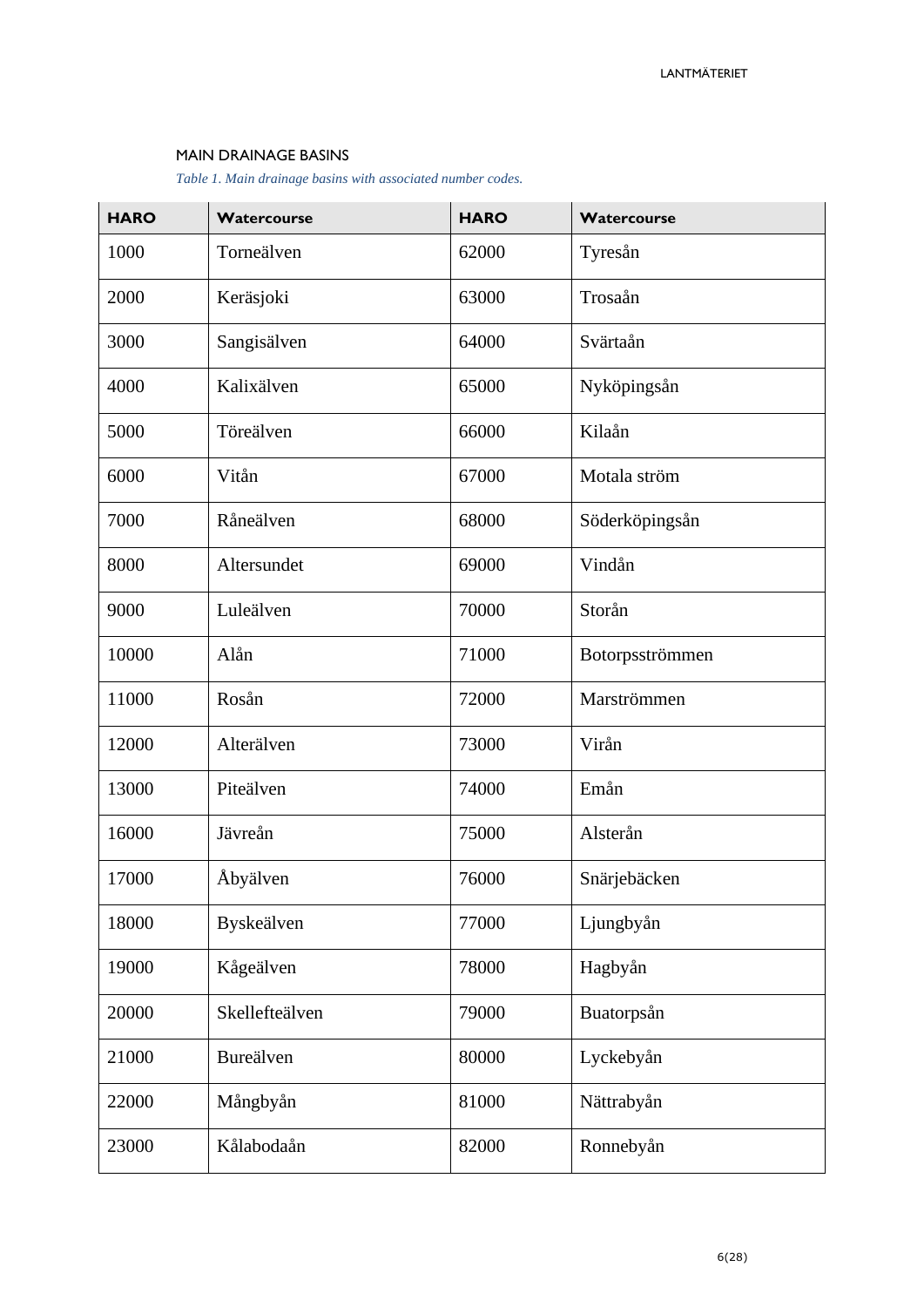#### MAIN DRAINAGE BASINS

*Table 1. Main drainage basins with associated number codes.*

| <b>HARO</b> | Watercourse    | <b>HARO</b> | Watercourse     |
|-------------|----------------|-------------|-----------------|
| 1000        | Torneälven     | 62000       | Tyresån         |
| 2000        | Keräsjoki      | 63000       | Trosaån         |
| 3000        | Sangisälven    | 64000       | Svärtaån        |
| 4000        | Kalixälven     | 65000       | Nyköpingsån     |
| 5000        | Töreälven      | 66000       | Kilaån          |
| 6000        | Vitån          | 67000       | Motala ström    |
| 7000        | Råneälven      | 68000       | Söderköpingsån  |
| 8000        | Altersundet    | 69000       | Vindån          |
| 9000        | Luleälven      | 70000       | Storån          |
| 10000       | Alån           | 71000       | Botorpsströmmen |
| 11000       | Rosån          | 72000       | Marströmmen     |
| 12000       | Alterälven     | 73000       | Virån           |
| 13000       | Piteälven      | 74000       | Emån            |
| 16000       | Jävreån        | 75000       | Alsterån        |
| 17000       | Åbyälven       | 76000       | Snärjebäcken    |
| 18000       | Byskeälven     | 77000       | Ljungbyån       |
| 19000       | Kågeälven      | 78000       | Hagbyån         |
| 20000       | Skellefteälven | 79000       | Buatorpsån      |
| 21000       | Bureälven      | 80000       | Lyckebyån       |
| 22000       | Mångbyån       | 81000       | Nättrabyån      |
| 23000       | Kålabodaån     | 82000       | Ronnebyån       |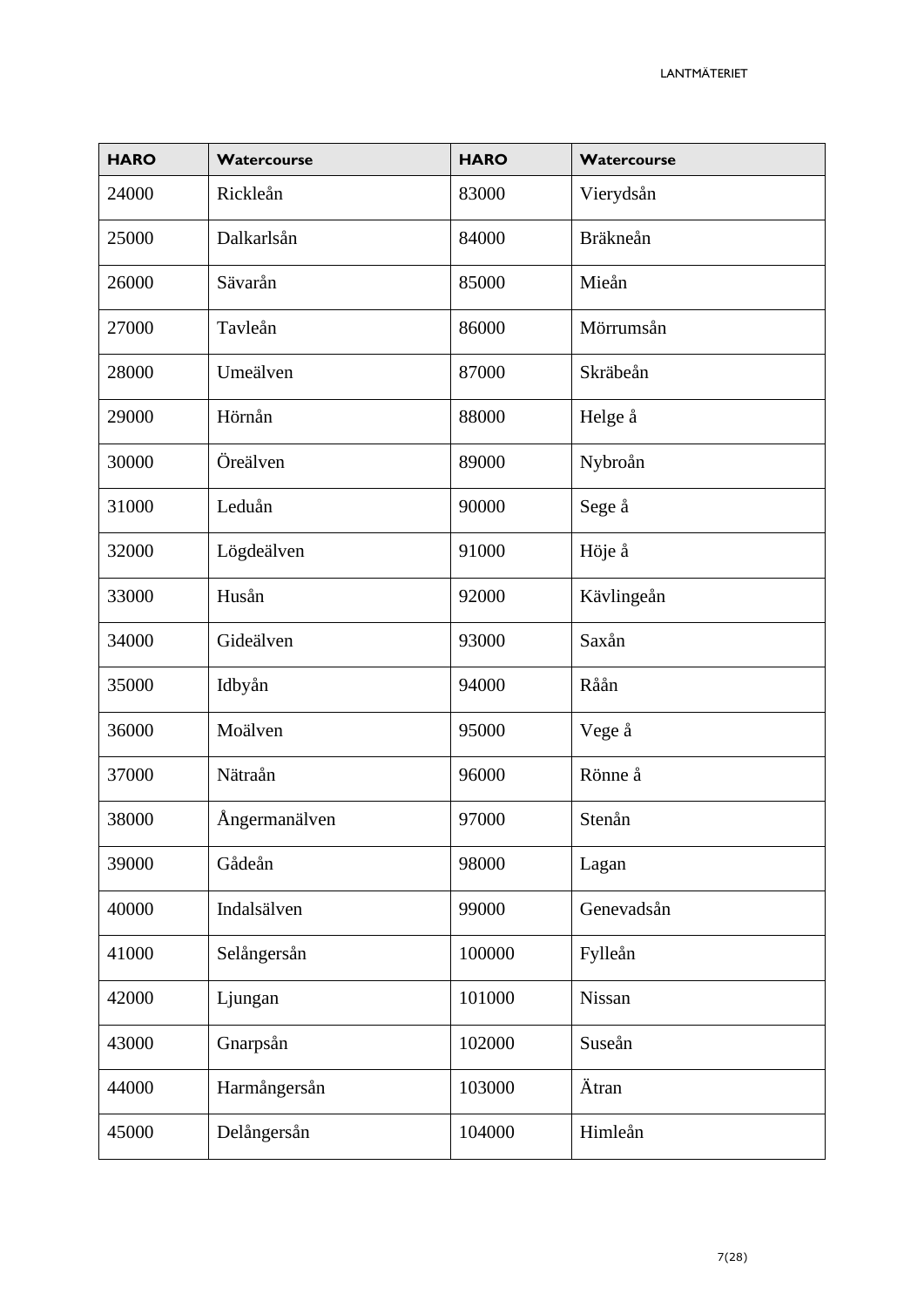| <b>HARO</b> | Watercourse   | <b>HARO</b> | Watercourse     |
|-------------|---------------|-------------|-----------------|
| 24000       | Rickleån      | 83000       | Vierydsån       |
| 25000       | Dalkarlsån    | 84000       | <b>Bräkneån</b> |
| 26000       | Sävarån       | 85000       | Mieån           |
| 27000       | Tavleån       | 86000       | Mörrumsån       |
| 28000       | Umeälven      | 87000       | Skräbeån        |
| 29000       | Hörnån        | 88000       | Helge å         |
| 30000       | Öreälven      | 89000       | Nybroån         |
| 31000       | Leduån        | 90000       | Sege å          |
| 32000       | Lögdeälven    | 91000       | Höje å          |
| 33000       | Husån         | 92000       | Kävlingeån      |
| 34000       | Gideälven     | 93000       | Saxån           |
| 35000       | Idbyån        | 94000       | Råån            |
| 36000       | Moälven       | 95000       | Vege å          |
| 37000       | Nätraån       | 96000       | Rönne å         |
| 38000       | Ångermanälven | 97000       | Stenån          |
| 39000       | Gådeån        | 98000       | Lagan           |
| 40000       | Indalsälven   | 99000       | Genevadsån      |
| 41000       | Selångersån   | 100000      | Fylleån         |
| 42000       | Ljungan       | 101000      | Nissan          |
| 43000       | Gnarpsån      | 102000      | Suseån          |
| 44000       | Harmångersån  | 103000      | Ätran           |
| 45000       | Delångersån   | 104000      | Himleån         |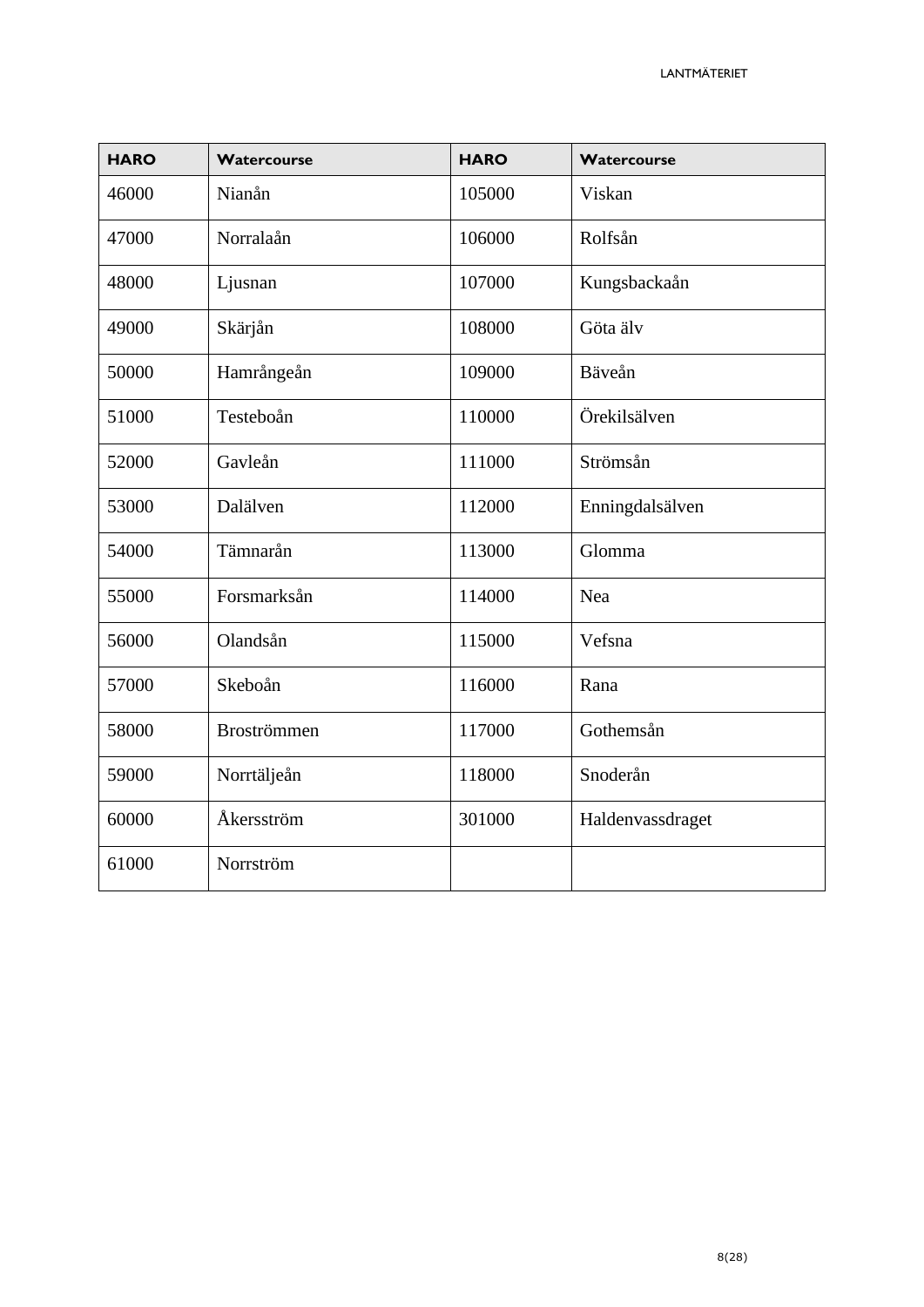| <b>HARO</b> | Watercourse        | <b>HARO</b> | Watercourse      |
|-------------|--------------------|-------------|------------------|
| 46000       | Nianån             | 105000      | Viskan           |
| 47000       | Norralaån          | 106000      | Rolfsån          |
| 48000       | Ljusnan            | 107000      | Kungsbackaån     |
| 49000       | Skärjån            | 108000      | Göta älv         |
| 50000       | Hamrångeån         | 109000      | Bäveån           |
| 51000       | Testeboån          | 110000      | Örekilsälven     |
| 52000       | Gavleån            | 111000      | Strömsån         |
| 53000       | Dalälven           | 112000      | Enningdalsälven  |
| 54000       | Tämnarån           | 113000      | Glomma           |
| 55000       | Forsmarksån        | 114000      | Nea              |
| 56000       | Olandsån           | 115000      | Vefsna           |
| 57000       | Skeboån            | 116000      | Rana             |
| 58000       | <b>Broströmmen</b> | 117000      | Gothemsån        |
| 59000       | Norrtäljeån        | 118000      | Snoderån         |
| 60000       | Åkersström         | 301000      | Haldenvassdraget |
| 61000       | Norrström          |             |                  |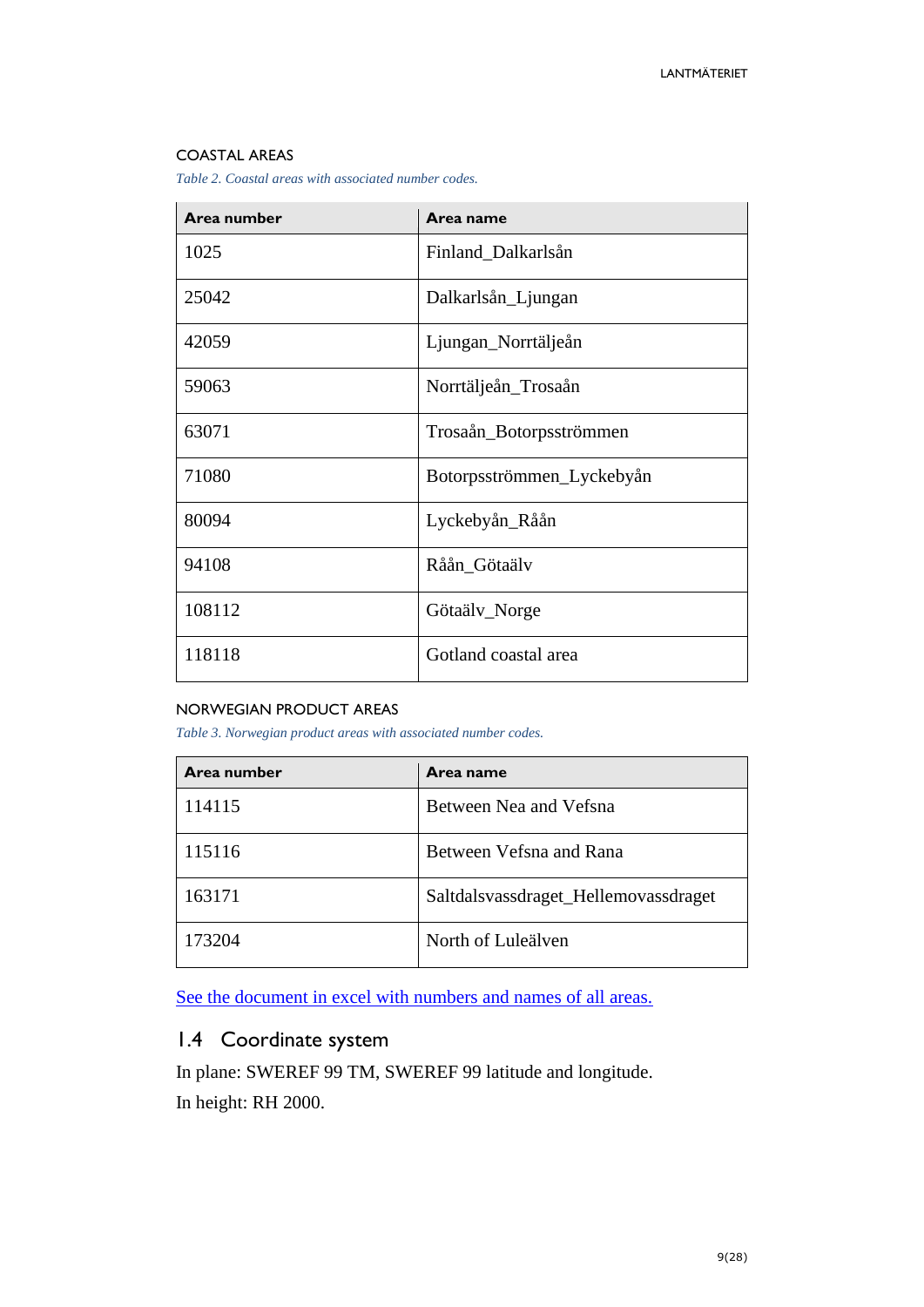#### COASTAL AREAS

*Table 2. Coastal areas with associated number codes.*

| Area number | Area name                 |
|-------------|---------------------------|
| 1025        | Finland_Dalkarlsån        |
| 25042       | Dalkarlsån_Ljungan        |
| 42059       | Ljungan_Norrtäljeån       |
| 59063       | Norrtäljeån_Trosaån       |
| 63071       | Trosaån_Botorpsströmmen   |
| 71080       | Botorpsströmmen_Lyckebyån |
| 80094       | Lyckebyån_Råån            |
| 94108       | Råån_Götaälv              |
| 108112      | Götaälv_Norge             |
| 118118      | Gotland coastal area      |

#### NORWEGIAN PRODUCT AREAS

*Table 3. Norwegian product areas with associated number codes.*

| Area number | Area name                            |
|-------------|--------------------------------------|
| 114115      | Between Nea and Vefsna               |
| 115116      | Between Vefsna and Rana              |
| 163171      | Saltdalsvassdraget_Hellemovassdraget |
| 173204      | North of Luleälven                   |

[See the document in excel with numbers and names of all areas.](https://www.lantmateriet.se/contentassets/c05a81d866fb4dd3a74ec6fef21e2bdb/haron-och-namn.xlsx)

# <span id="page-8-0"></span>1.4 Coordinate system

In plane: SWEREF 99 TM, SWEREF 99 latitude and longitude. In height: RH 2000.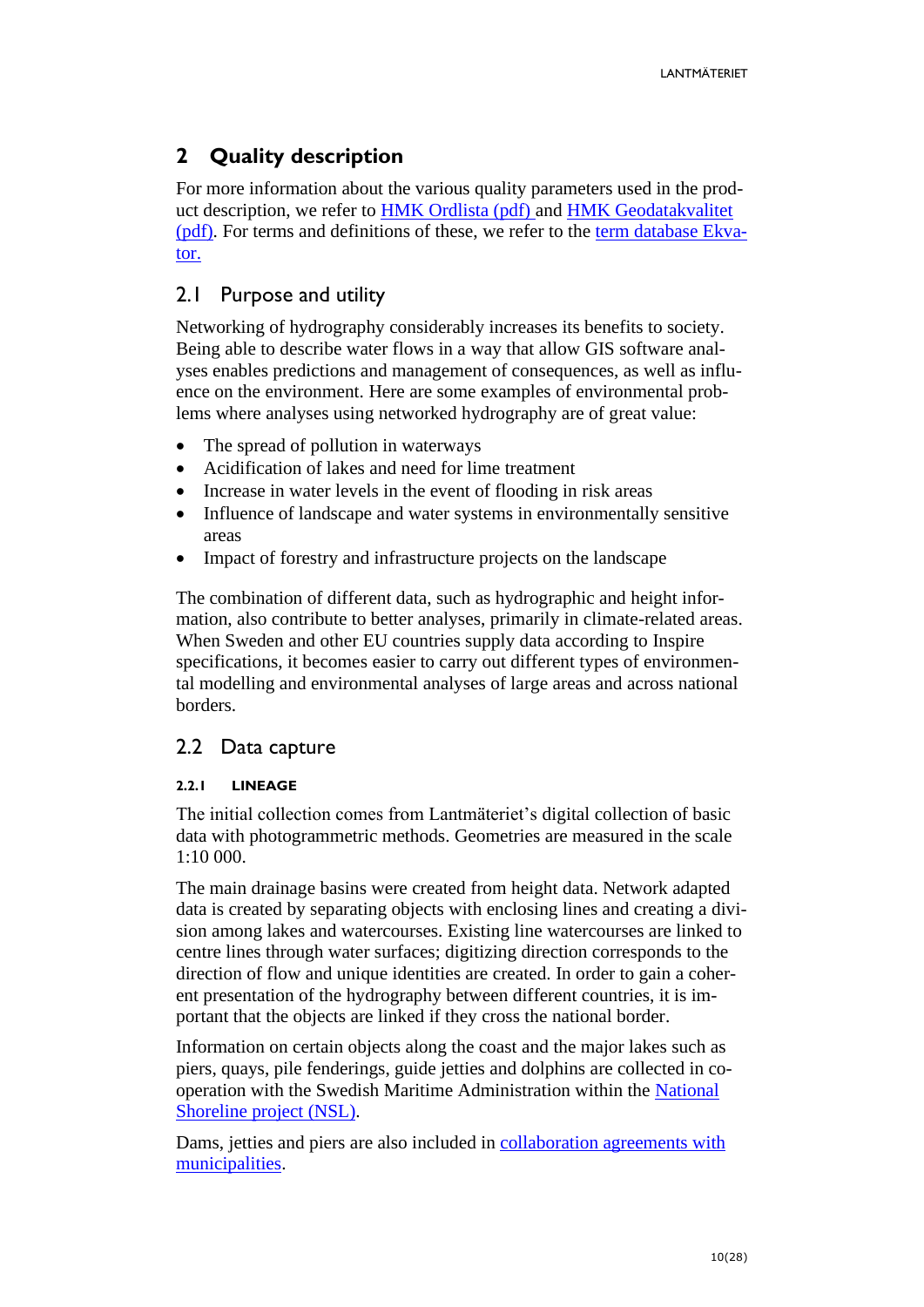# <span id="page-9-0"></span>**2 Quality description**

For more information about the various quality parameters used in the product description, we refer to [HMK Ordlista](https://www.lantmateriet.se/contentassets/96e6a20268f94f36959bd12e0700a581/hmk-ordlista_dec_2017.pdf) (pdf) and [HMK Geodatakvalitet](https://www.lantmateriet.se/contentassets/96e6a20268f94f36959bd12e0700a581/hmk_geodatakvalitet_2017.pdf) (pdf). For terms and definitions of these, we refer to the [term database Ekva](https://sis.termweb.se/termweb/app;jsessionid=01AC778778A3984915E1EC69F91FC1B5?service=direct/1/SearchView/$SearchViewBorder.$LogoutPanel.logout)[tor.](https://sis.termweb.se/termweb/app;jsessionid=01AC778778A3984915E1EC69F91FC1B5?service=direct/1/SearchView/$SearchViewBorder.$LogoutPanel.logout)

### <span id="page-9-1"></span>2.1 Purpose and utility

Networking of hydrography considerably increases its benefits to society. Being able to describe water flows in a way that allow GIS software analyses enables predictions and management of consequences, as well as influence on the environment. Here are some examples of environmental problems where analyses using networked hydrography are of great value:

- The spread of pollution in waterways
- Acidification of lakes and need for lime treatment
- Increase in water levels in the event of flooding in risk areas
- Influence of landscape and water systems in environmentally sensitive areas
- Impact of forestry and infrastructure projects on the landscape

The combination of different data, such as hydrographic and height information, also contribute to better analyses, primarily in climate-related areas. When Sweden and other EU countries supply data according to Inspire specifications, it becomes easier to carry out different types of environmental modelling and environmental analyses of large areas and across national borders.

### <span id="page-9-2"></span>2.2 Data capture

#### <span id="page-9-3"></span>**2.2.1 LINEAGE**

The initial collection comes from Lantmäteriet's digital collection of basic data with photogrammetric methods. Geometries are measured in the scale 1:10 000.

The main drainage basins were created from height data. Network adapted data is created by separating objects with enclosing lines and creating a division among lakes and watercourses. Existing line watercourses are linked to centre lines through water surfaces; digitizing direction corresponds to the direction of flow and unique identities are created. In order to gain a coherent presentation of the hydrography between different countries, it is important that the objects are linked if they cross the national border.

Information on certain objects along the coast and the major lakes such as piers, quays, pile fenderings, guide jetties and dolphins are collected in cooperation with the Swedish Maritime Administration within the [National](http://www.lantmateriet.se/sv/Om-Lantmateriet/Samverkan-med-andra/Nationell-strandlinje/)  [Shoreline project \(NSL\).](http://www.lantmateriet.se/sv/Om-Lantmateriet/Samverkan-med-andra/Nationell-strandlinje/)

Dams, jetties and piers are also included in [collaboration agreements with](http://www.lantmateriet.se/sv/Om-Lantmateriet/Samverkan-med-andra/Kommunsamverkan/Byggnad-Adress-Lagenhet-och-Topografi/)  [municipalities.](http://www.lantmateriet.se/sv/Om-Lantmateriet/Samverkan-med-andra/Kommunsamverkan/Byggnad-Adress-Lagenhet-och-Topografi/)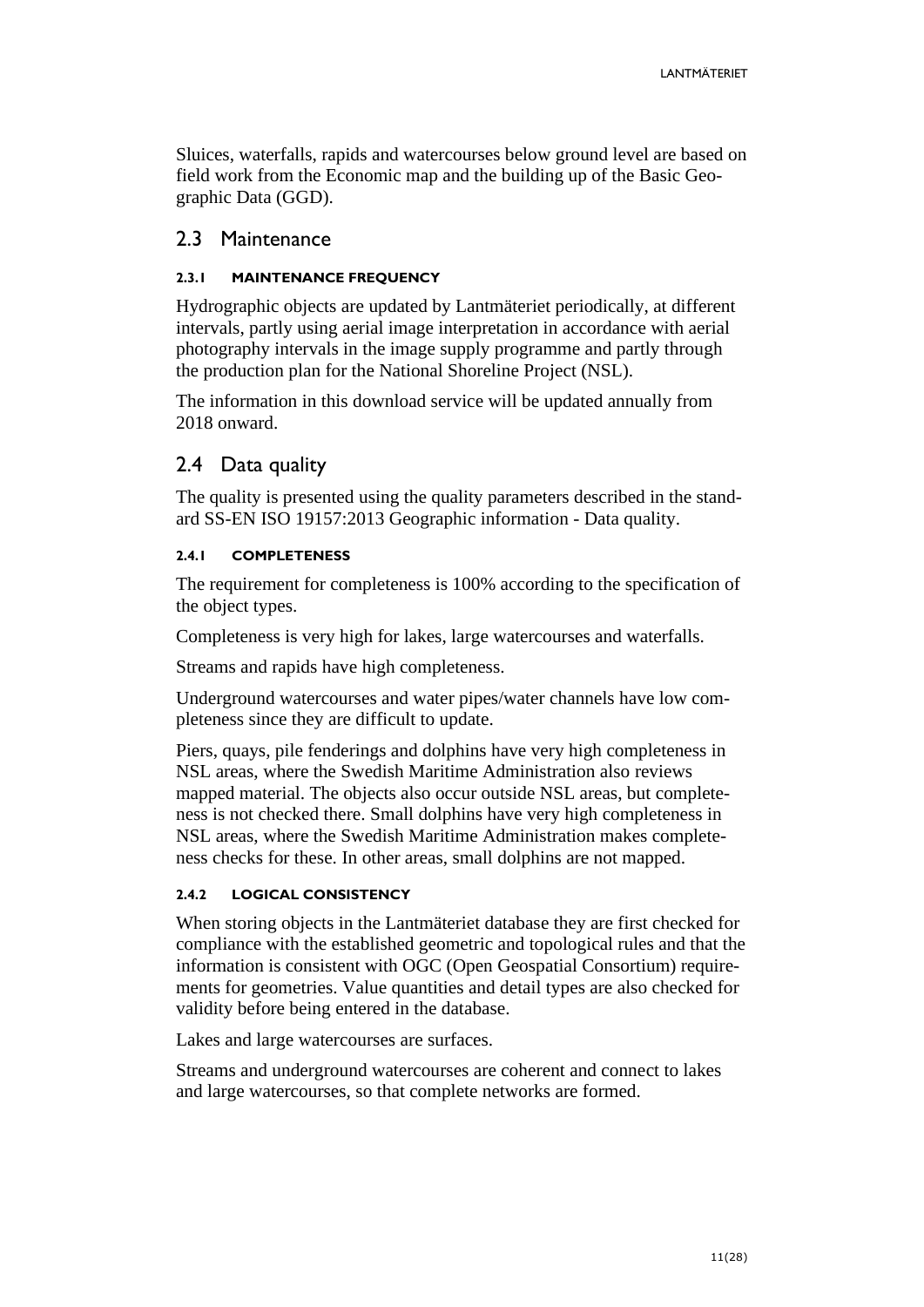Sluices, waterfalls, rapids and watercourses below ground level are based on field work from the Economic map and the building up of the Basic Geographic Data (GGD).

### <span id="page-10-0"></span>2.3 Maintenance

#### <span id="page-10-1"></span>**2.3.1 MAINTENANCE FREQUENCY**

Hydrographic objects are updated by Lantmäteriet periodically, at different intervals, partly using aerial image interpretation in accordance with aerial photography intervals in the image supply programme and partly through the production plan for the National Shoreline Project (NSL).

The information in this download service will be updated annually from 2018 onward.

### <span id="page-10-2"></span>2.4 Data quality

The quality is presented using the quality parameters described in the standard SS-EN ISO 19157:2013 Geographic information - Data quality.

#### <span id="page-10-3"></span>**2.4.1 COMPLETENESS**

The requirement for completeness is 100% according to the specification of the object types.

Completeness is very high for lakes, large watercourses and waterfalls.

Streams and rapids have high completeness.

Underground watercourses and water pipes/water channels have low completeness since they are difficult to update.

Piers, quays, pile fenderings and dolphins have very high completeness in NSL areas, where the Swedish Maritime Administration also reviews mapped material. The objects also occur outside NSL areas, but completeness is not checked there. Small dolphins have very high completeness in NSL areas, where the Swedish Maritime Administration makes completeness checks for these. In other areas, small dolphins are not mapped.

#### <span id="page-10-4"></span>**2.4.2 LOGICAL CONSISTENCY**

When storing objects in the Lantmäteriet database they are first checked for compliance with the established geometric and topological rules and that the information is consistent with OGC (Open Geospatial Consortium) requirements for geometries. Value quantities and detail types are also checked for validity before being entered in the database.

Lakes and large watercourses are surfaces.

Streams and underground watercourses are coherent and connect to lakes and large watercourses, so that complete networks are formed.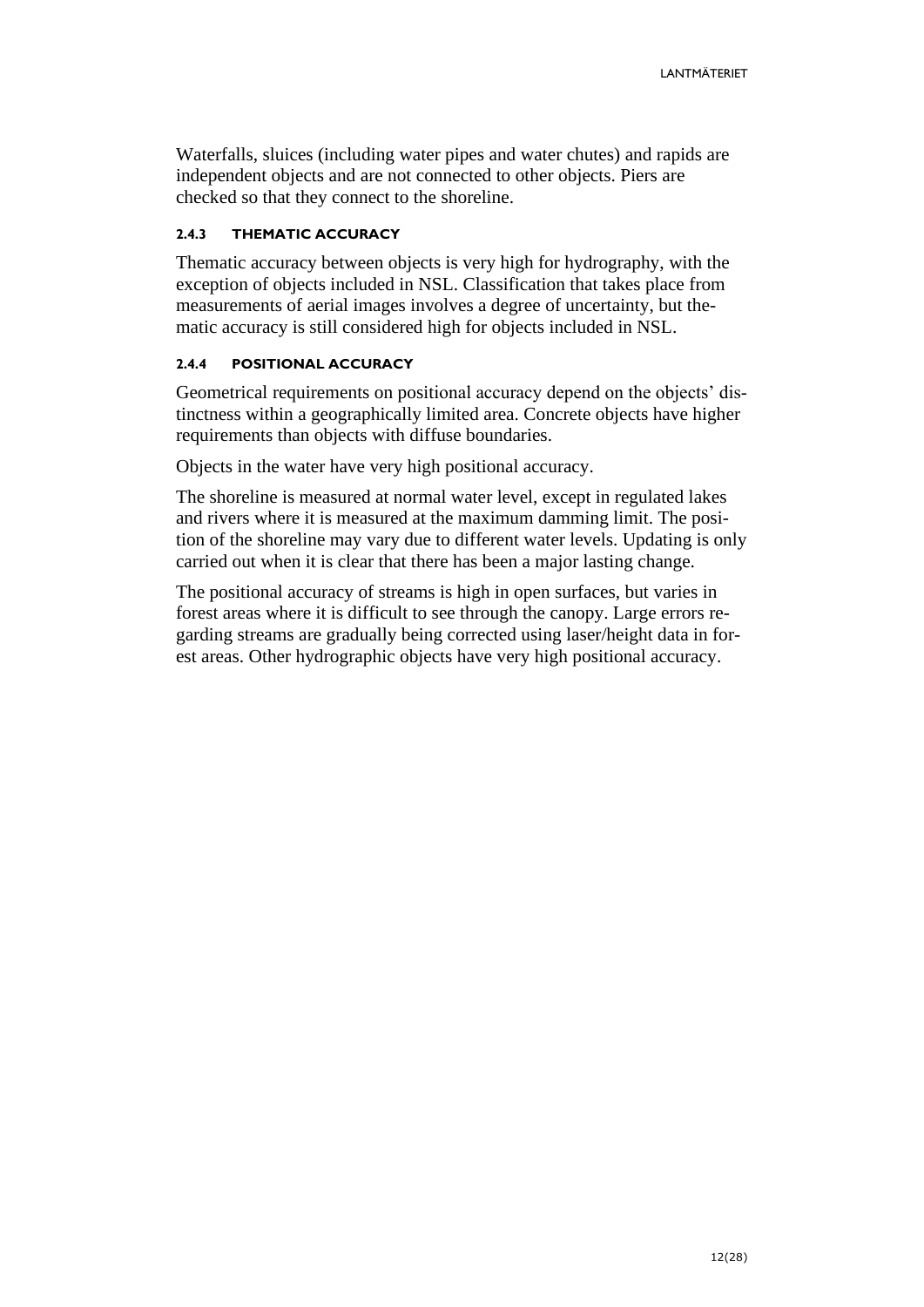Waterfalls, sluices (including water pipes and water chutes) and rapids are independent objects and are not connected to other objects. Piers are checked so that they connect to the shoreline.

#### <span id="page-11-0"></span>**2.4.3 THEMATIC ACCURACY**

Thematic accuracy between objects is very high for hydrography, with the exception of objects included in NSL. Classification that takes place from measurements of aerial images involves a degree of uncertainty, but thematic accuracy is still considered high for objects included in NSL.

#### <span id="page-11-1"></span>**2.4.4 POSITIONAL ACCURACY**

Geometrical requirements on positional accuracy depend on the objects' distinctness within a geographically limited area. Concrete objects have higher requirements than objects with diffuse boundaries.

Objects in the water have very high positional accuracy.

The shoreline is measured at normal water level, except in regulated lakes and rivers where it is measured at the maximum damming limit. The position of the shoreline may vary due to different water levels. Updating is only carried out when it is clear that there has been a major lasting change.

The positional accuracy of streams is high in open surfaces, but varies in forest areas where it is difficult to see through the canopy. Large errors regarding streams are gradually being corrected using laser/height data in forest areas. Other hydrographic objects have very high positional accuracy.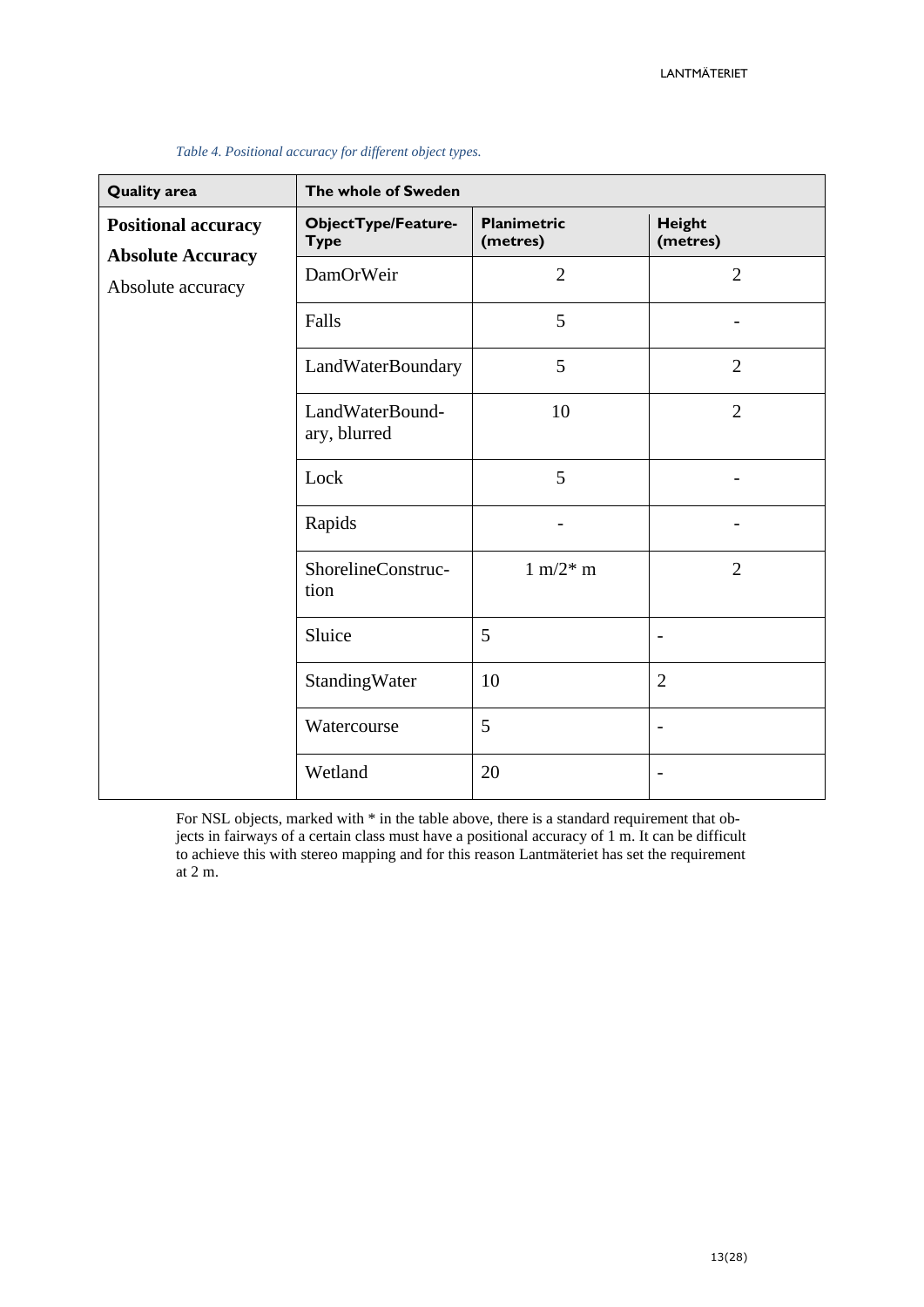| <b>Quality area</b>                           | The whole of Sweden                |                                |                           |
|-----------------------------------------------|------------------------------------|--------------------------------|---------------------------|
| <b>Positional accuracy</b>                    | ObjectType/Feature-<br><b>Type</b> | <b>Planimetric</b><br>(metres) | <b>Height</b><br>(metres) |
| <b>Absolute Accuracy</b><br>Absolute accuracy | DamOrWeir                          | $\overline{2}$                 | $\overline{2}$            |
|                                               | Falls                              | 5                              |                           |
|                                               | LandWaterBoundary                  | 5                              | $\overline{2}$            |
|                                               | LandWaterBound-<br>ary, blurred    | 10                             | $\overline{2}$            |
|                                               | Lock                               | 5                              |                           |
|                                               | Rapids                             |                                |                           |
|                                               | ShorelineConstruc-<br>tion         | $1 \text{ m}/2^* \text{ m}$    | $\overline{2}$            |
|                                               | Sluice                             | 5                              |                           |
|                                               | StandingWater                      | 10                             | $\overline{2}$            |
|                                               | Watercourse                        | 5                              | $\overline{\phantom{a}}$  |
|                                               | Wetland                            | 20                             | $\overline{\phantom{a}}$  |

#### *Table 4. Positional accuracy for different object types.*

For NSL objects, marked with \* in the table above, there is a standard requirement that objects in fairways of a certain class must have a positional accuracy of 1 m. It can be difficult to achieve this with stereo mapping and for this reason Lantmäteriet has set the requirement at 2 m.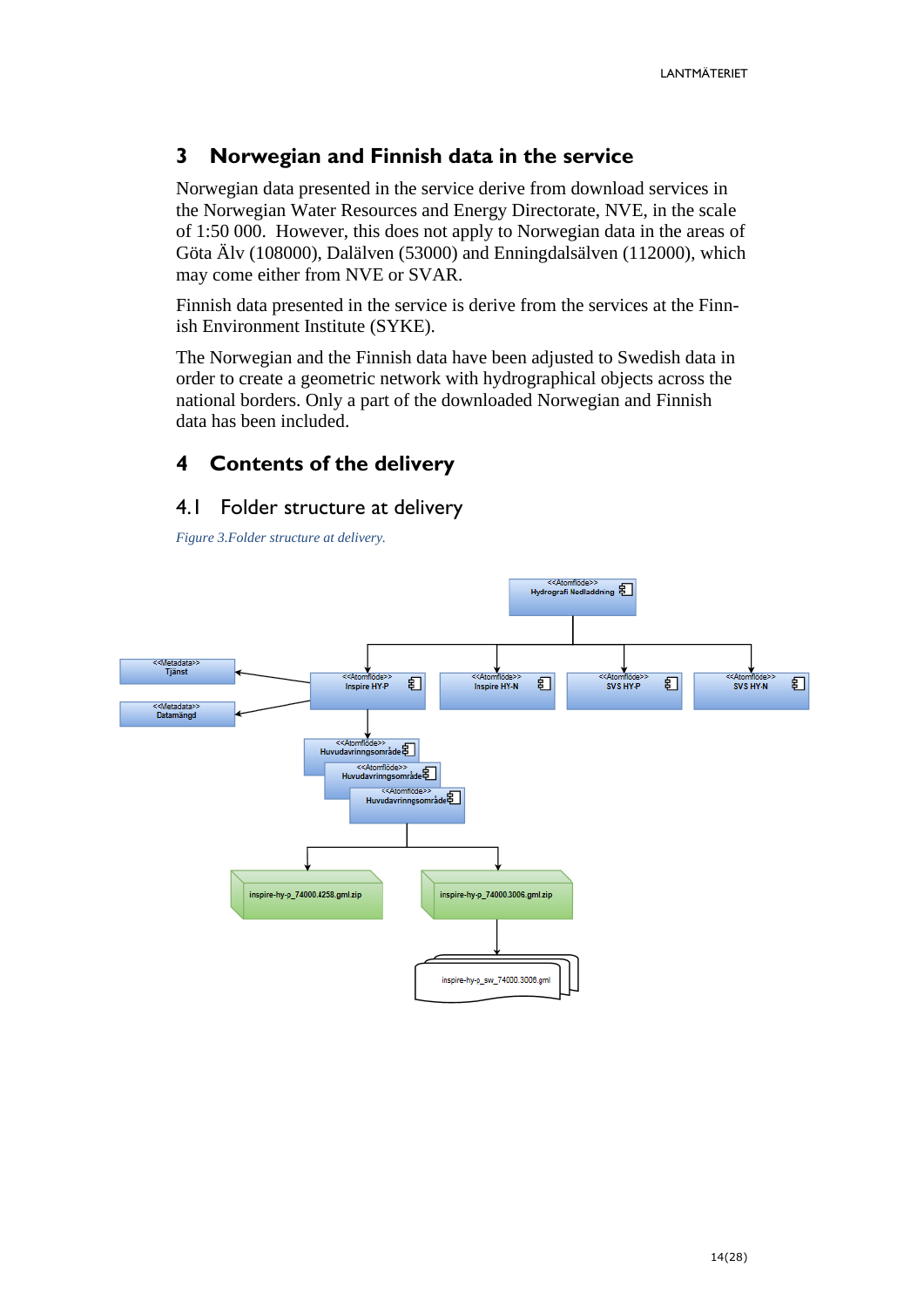# <span id="page-13-0"></span>**3 Norwegian and Finnish data in the service**

Norwegian data presented in the service derive from download services in the Norwegian Water Resources and Energy Directorate, NVE, in the scale of 1:50 000. However, this does not apply to Norwegian data in the areas of Göta Älv (108000), Dalälven (53000) and Enningdalsälven (112000), which may come either from NVE or SVAR.

Finnish data presented in the service is derive from the services at the Finnish Environment Institute (SYKE).

The Norwegian and the Finnish data have been adjusted to Swedish data in order to create a geometric network with hydrographical objects across the national borders. Only a part of the downloaded Norwegian and Finnish data has been included.

# <span id="page-13-1"></span>**4 Contents of the delivery**

### <span id="page-13-2"></span>4.1 Folder structure at delivery

*Figure 3.Folder structure at delivery.*

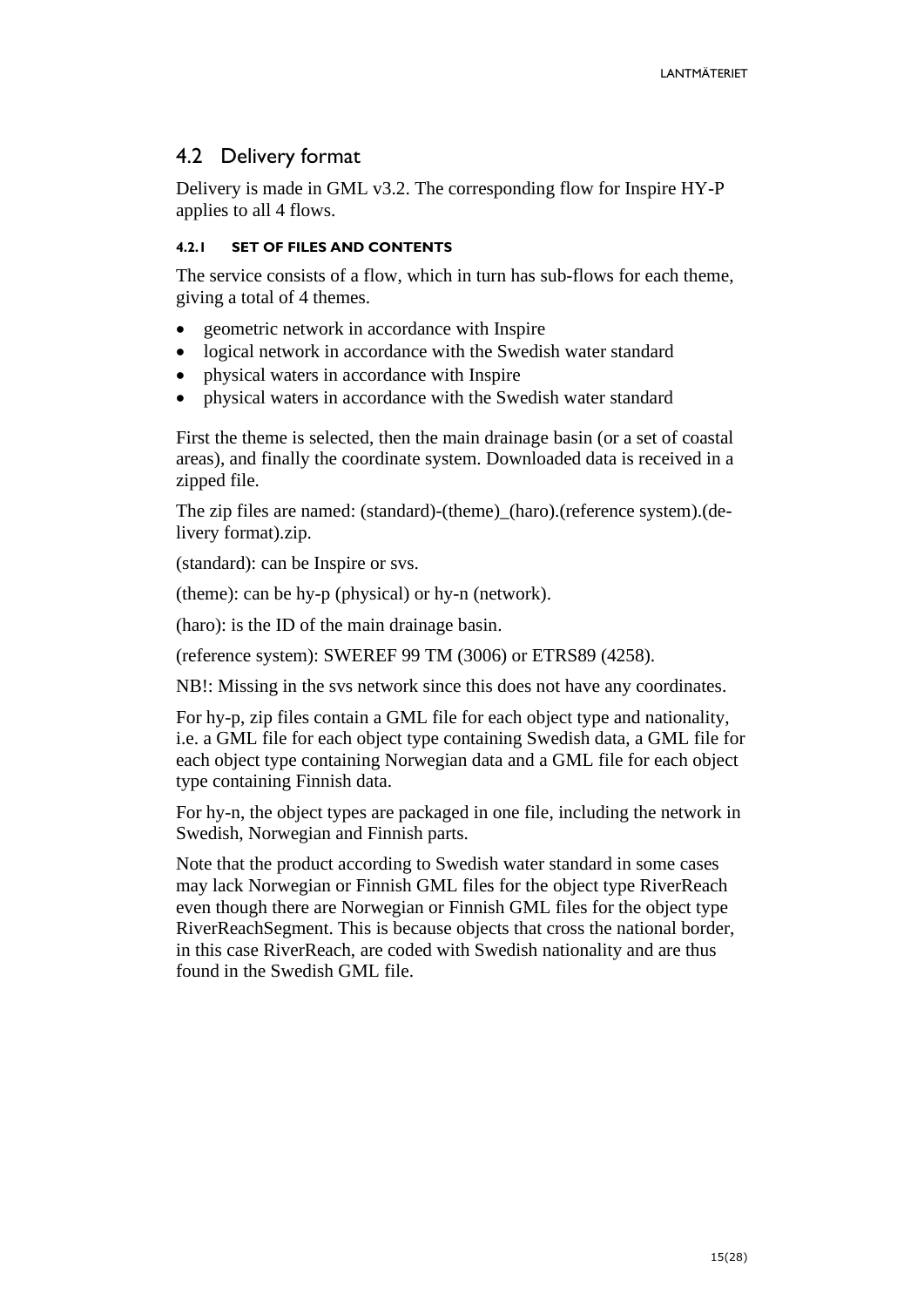# <span id="page-14-0"></span>4.2 Delivery format

Delivery is made in GML v3.2. The corresponding flow for Inspire HY-P applies to all 4 flows.

### <span id="page-14-1"></span>**4.2.1 SET OF FILES AND CONTENTS**

The service consists of a flow, which in turn has sub-flows for each theme, giving a total of 4 themes.

- geometric network in accordance with Inspire
- logical network in accordance with the Swedish water standard
- physical waters in accordance with Inspire
- physical waters in accordance with the Swedish water standard

First the theme is selected, then the main drainage basin (or a set of coastal areas), and finally the coordinate system. Downloaded data is received in a zipped file.

The zip files are named: (standard)-(theme)\_(haro).(reference system).(delivery format).zip.

(standard): can be Inspire or svs.

(theme): can be hy-p (physical) or hy-n (network).

(haro): is the ID of the main drainage basin.

(reference system): SWEREF 99 TM (3006) or ETRS89 (4258).

NB!: Missing in the svs network since this does not have any coordinates.

For hy-p, zip files contain a GML file for each object type and nationality, i.e. a GML file for each object type containing Swedish data, a GML file for each object type containing Norwegian data and a GML file for each object type containing Finnish data.

For hy-n, the object types are packaged in one file, including the network in Swedish, Norwegian and Finnish parts.

Note that the product according to Swedish water standard in some cases may lack Norwegian or Finnish GML files for the object type RiverReach even though there are Norwegian or Finnish GML files for the object type RiverReachSegment. This is because objects that cross the national border, in this case RiverReach, are coded with Swedish nationality and are thus found in the Swedish GML file.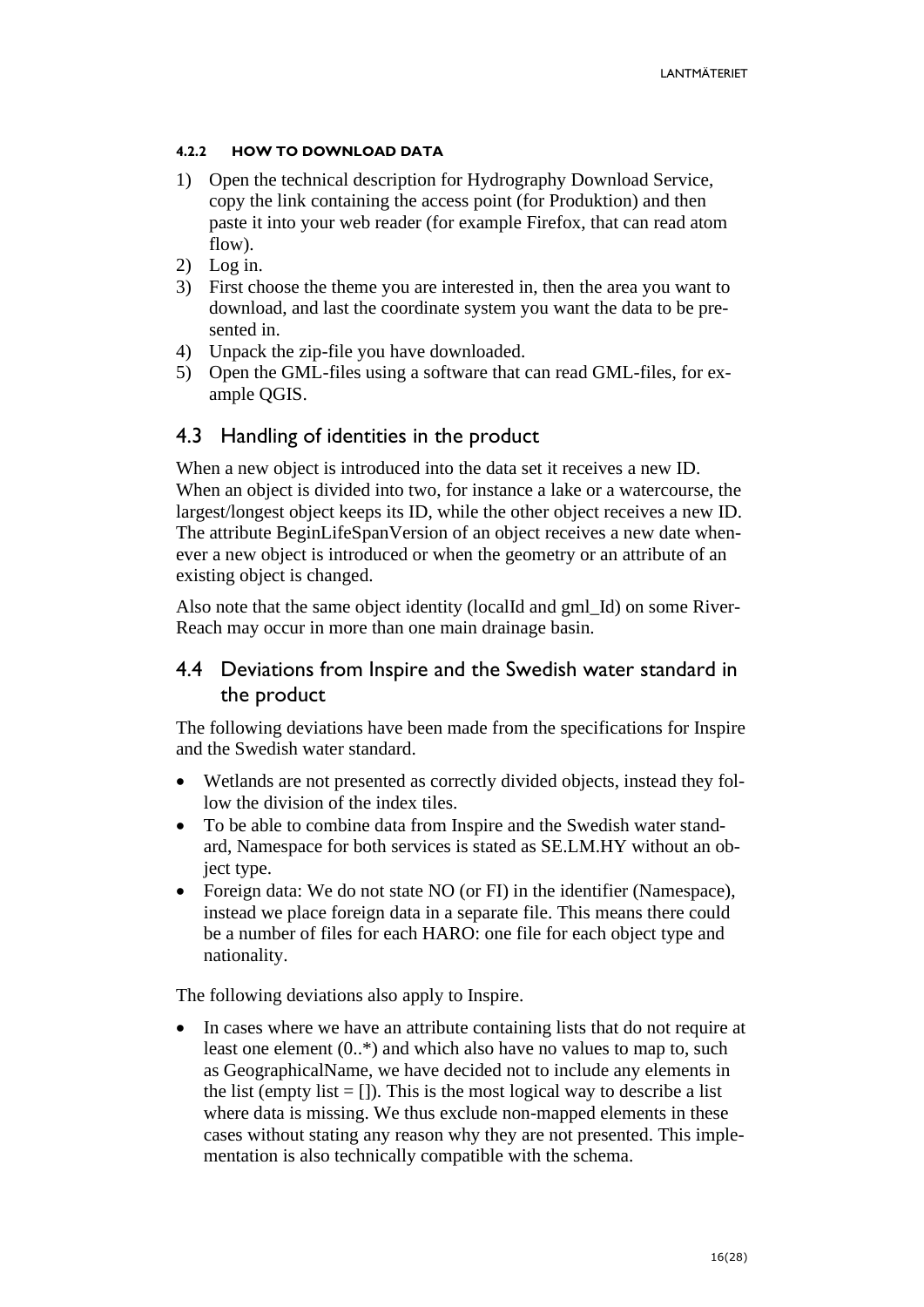#### <span id="page-15-0"></span>**4.2.2 HOW TO DOWNLOAD DATA**

- 1) Open the technical description for Hydrography Download Service, copy the link containing the access point (for Produktion) and then paste it into your web reader (for example Firefox, that can read atom flow).
- 2) Log in.
- 3) First choose the theme you are interested in, then the area you want to download, and last the coordinate system you want the data to be presented in.
- 4) Unpack the zip-file you have downloaded.
- 5) Open the GML-files using a software that can read GML-files, for example QGIS.

### <span id="page-15-1"></span>4.3 Handling of identities in the product

When a new object is introduced into the data set it receives a new ID. When an object is divided into two, for instance a lake or a watercourse, the largest/longest object keeps its ID, while the other object receives a new ID. The attribute BeginLifeSpanVersion of an object receives a new date whenever a new object is introduced or when the geometry or an attribute of an existing object is changed.

Also note that the same object identity (localId and gml\_Id) on some River-Reach may occur in more than one main drainage basin.

### <span id="page-15-2"></span>4.4 Deviations from Inspire and the Swedish water standard in the product

The following deviations have been made from the specifications for Inspire and the Swedish water standard.

- Wetlands are not presented as correctly divided objects, instead they follow the division of the index tiles.
- To be able to combine data from Inspire and the Swedish water standard, Namespace for both services is stated as SE.LM.HY without an object type.
- Foreign data: We do not state NO (or FI) in the identifier (Namespace), instead we place foreign data in a separate file. This means there could be a number of files for each HARO: one file for each object type and nationality.

The following deviations also apply to Inspire.

In cases where we have an attribute containing lists that do not require at least one element (0..\*) and which also have no values to map to, such as GeographicalName, we have decided not to include any elements in the list (empty list  $= [ ]$ ). This is the most logical way to describe a list where data is missing. We thus exclude non-mapped elements in these cases without stating any reason why they are not presented. This implementation is also technically compatible with the schema.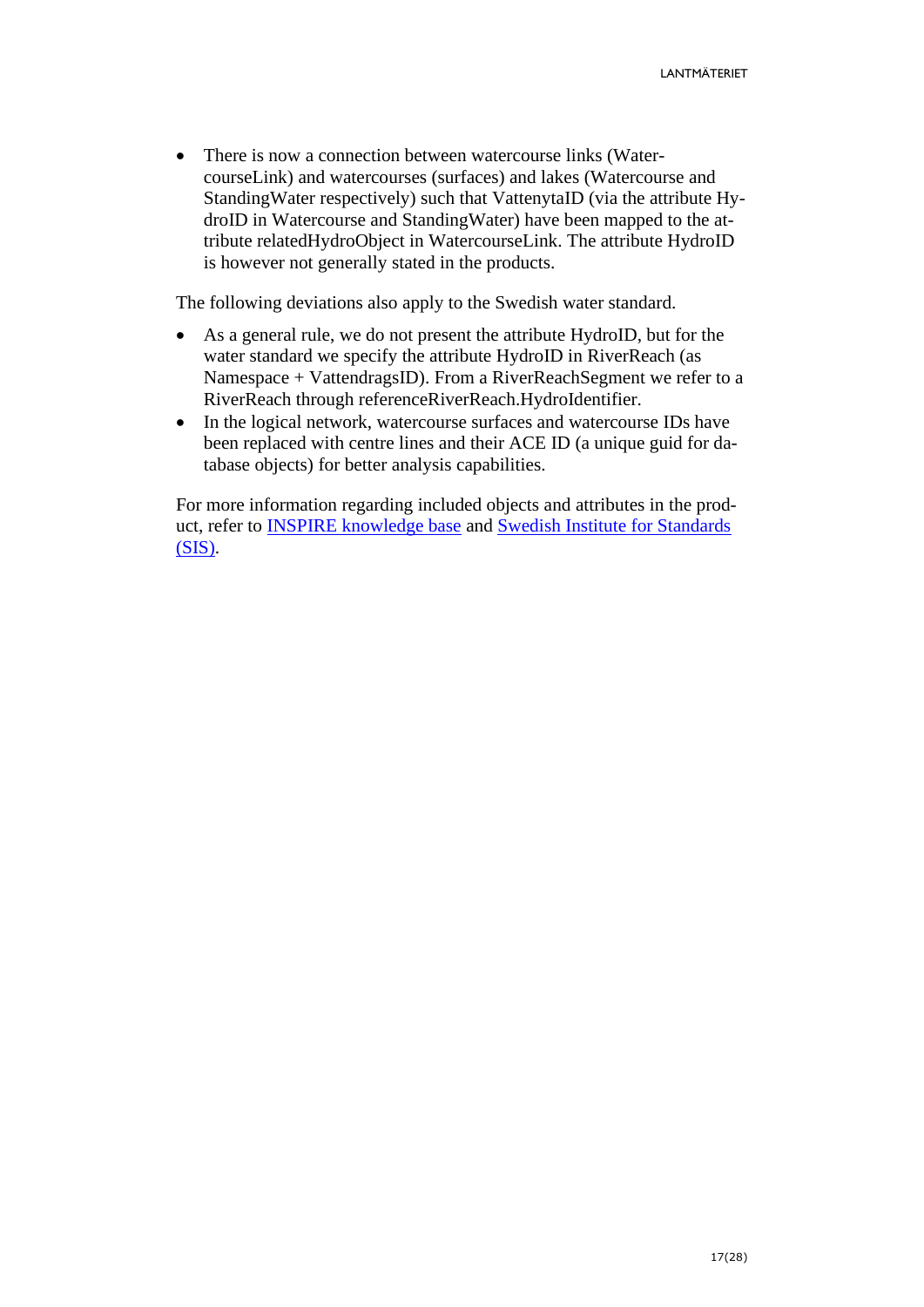• There is now a connection between watercourse links (WatercourseLink) and watercourses (surfaces) and lakes (Watercourse and StandingWater respectively) such that VattenytaID (via the attribute HydroID in Watercourse and StandingWater) have been mapped to the attribute relatedHydroObject in WatercourseLink. The attribute HydroID is however not generally stated in the products.

The following deviations also apply to the Swedish water standard.

- As a general rule, we do not present the attribute HydroID, but for the water standard we specify the attribute HydroID in RiverReach (as Namespace + VattendragsID). From a RiverReachSegment we refer to a RiverReach through referenceRiverReach.HydroIdentifier.
- In the logical network, watercourse surfaces and watercourse IDs have been replaced with centre lines and their ACE ID (a unique guid for database objects) for better analysis capabilities.

For more information regarding included objects and attributes in the product, refer to [INSPIRE knowledge base](https://inspire.ec.europa.eu/id/document/tg/hy) and Swedish [Institute for Standards](https://www.sis.se/produkter/informationsteknik-kontorsutrustning/allmant/ss6370082015/) [\(SIS\).](https://www.sis.se/produkter/informationsteknik-kontorsutrustning/allmant/ss6370082015/)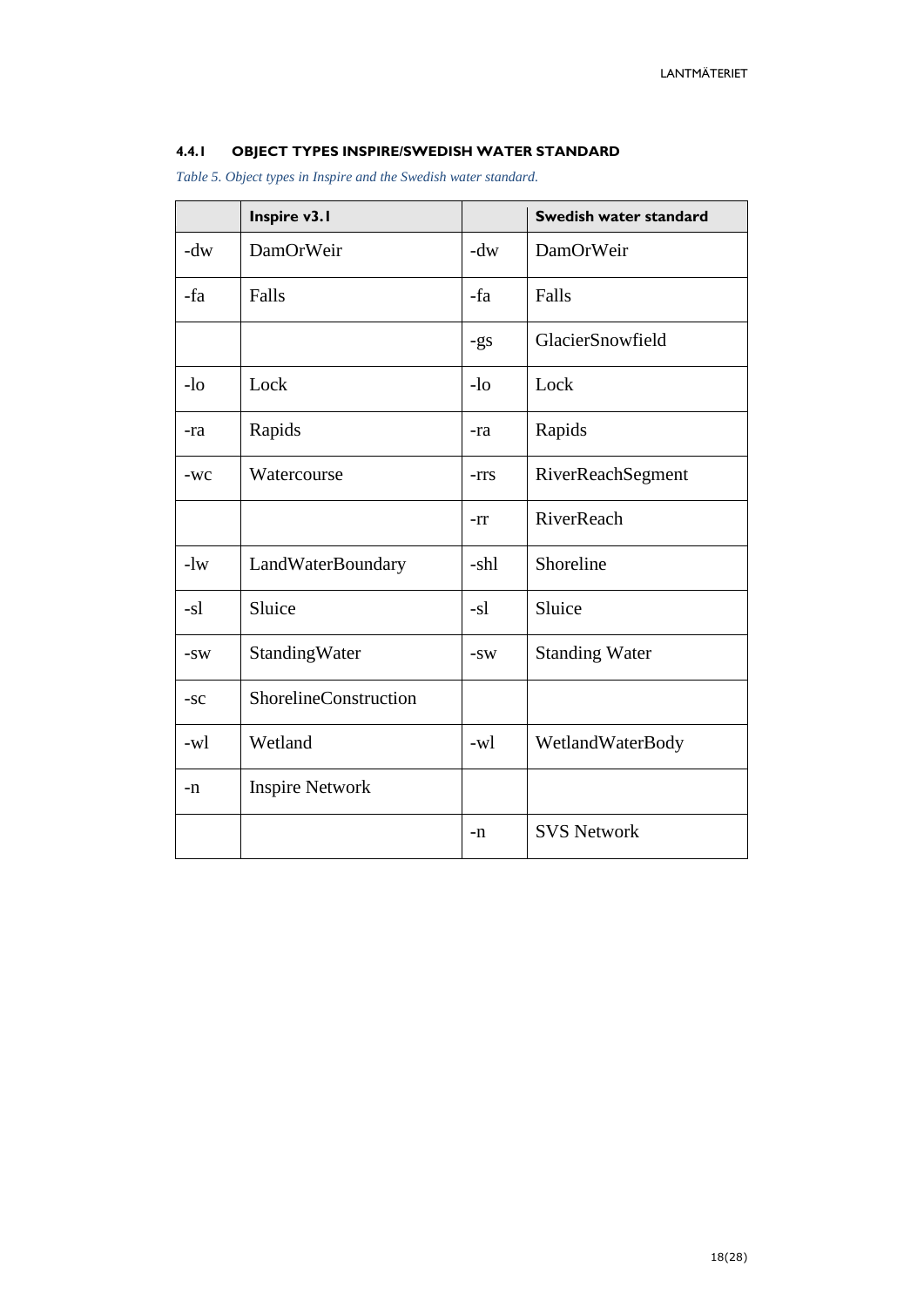#### <span id="page-17-0"></span>**4.4.1 OBJECT TYPES INSPIRE/SWEDISH WATER STANDARD**

*Table 5. Object types in Inspire and the Swedish water standard.*

|       | Inspire v3.1           |       | Swedish water standard |
|-------|------------------------|-------|------------------------|
| $-dw$ | DamOrWeir              | $-dw$ | DamOrWeir              |
| -fa   | Falls                  | -fa   | Falls                  |
|       |                        | $-gs$ | GlacierSnowfield       |
| $-lo$ | Lock                   | $-lo$ | Lock                   |
| -ra   | Rapids                 | -ra   | Rapids                 |
| $-WC$ | Watercourse            | -rrs  | RiverReachSegment      |
|       |                        | -rr   | RiverReach             |
| $-1w$ | LandWaterBoundary      | -shl  | Shoreline              |
| $-s1$ | Sluice                 | $-s1$ | Sluice                 |
| $-SW$ | StandingWater          | $-SW$ | <b>Standing Water</b>  |
| $-SC$ | ShorelineConstruction  |       |                        |
| -wl   | Wetland                | -wl   | WetlandWaterBody       |
| -n    | <b>Inspire Network</b> |       |                        |
|       |                        | -n    | <b>SVS Network</b>     |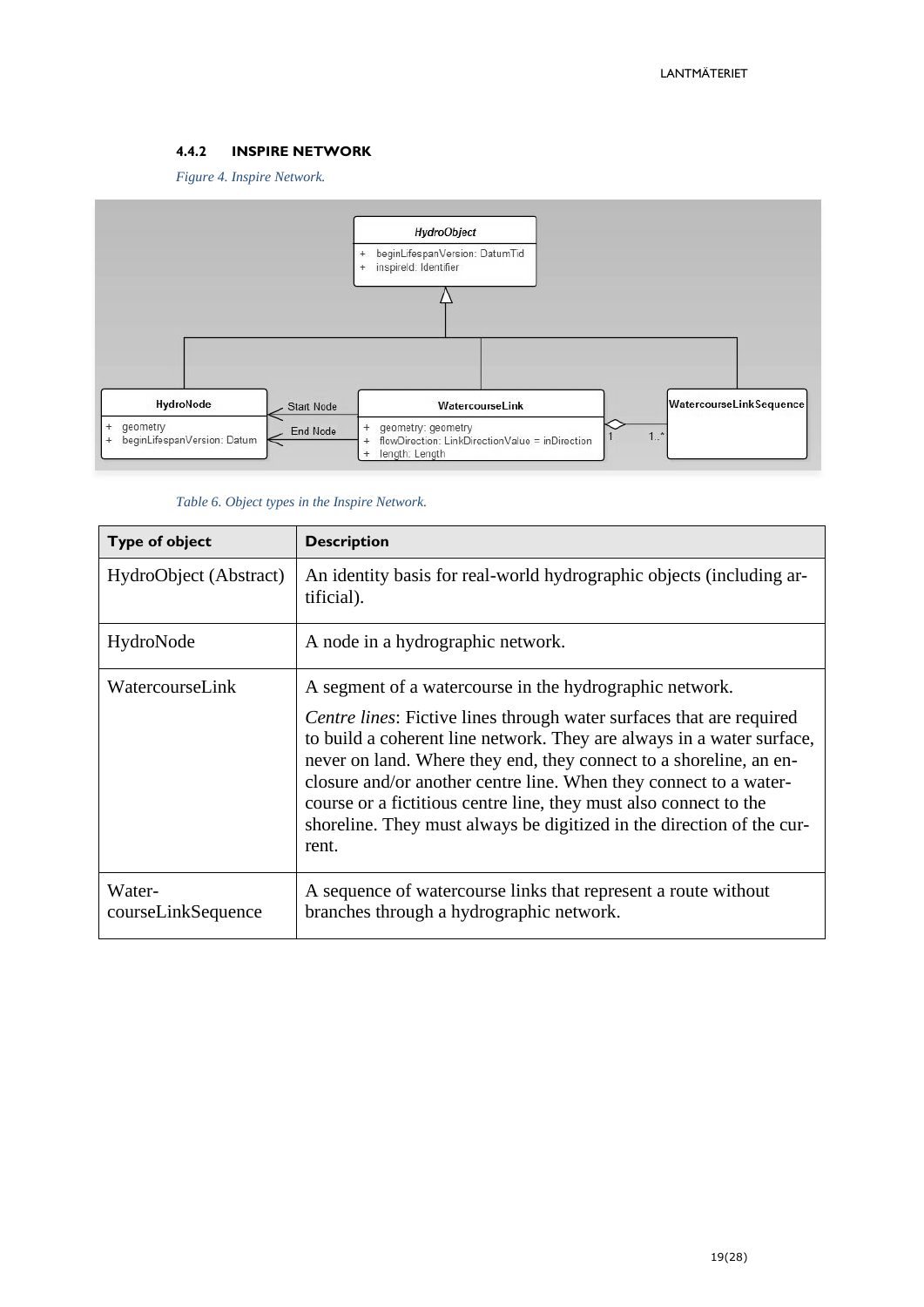#### <span id="page-18-0"></span>**4.4.2 INSPIRE NETWORK**

*Figure 4. Inspire Network.*



#### *Table 6. Object types in the Inspire Network.*

| <b>Type of object</b>        | <b>Description</b>                                                                                                                                                                                                                                                                                                                                                                                                                                                                                         |
|------------------------------|------------------------------------------------------------------------------------------------------------------------------------------------------------------------------------------------------------------------------------------------------------------------------------------------------------------------------------------------------------------------------------------------------------------------------------------------------------------------------------------------------------|
| HydroObject (Abstract)       | An identity basis for real-world hydrographic objects (including ar-<br>tificial).                                                                                                                                                                                                                                                                                                                                                                                                                         |
| HydroNode                    | A node in a hydrographic network.                                                                                                                                                                                                                                                                                                                                                                                                                                                                          |
| WatercourseLink              | A segment of a watercourse in the hydrographic network.<br>Centre lines: Fictive lines through water surfaces that are required<br>to build a coherent line network. They are always in a water surface,<br>never on land. Where they end, they connect to a shoreline, an en-<br>closure and/or another centre line. When they connect to a water-<br>course or a fictitious centre line, they must also connect to the<br>shoreline. They must always be digitized in the direction of the cur-<br>rent. |
| Water-<br>courseLinkSequence | A sequence of watercourse links that represent a route without<br>branches through a hydrographic network.                                                                                                                                                                                                                                                                                                                                                                                                 |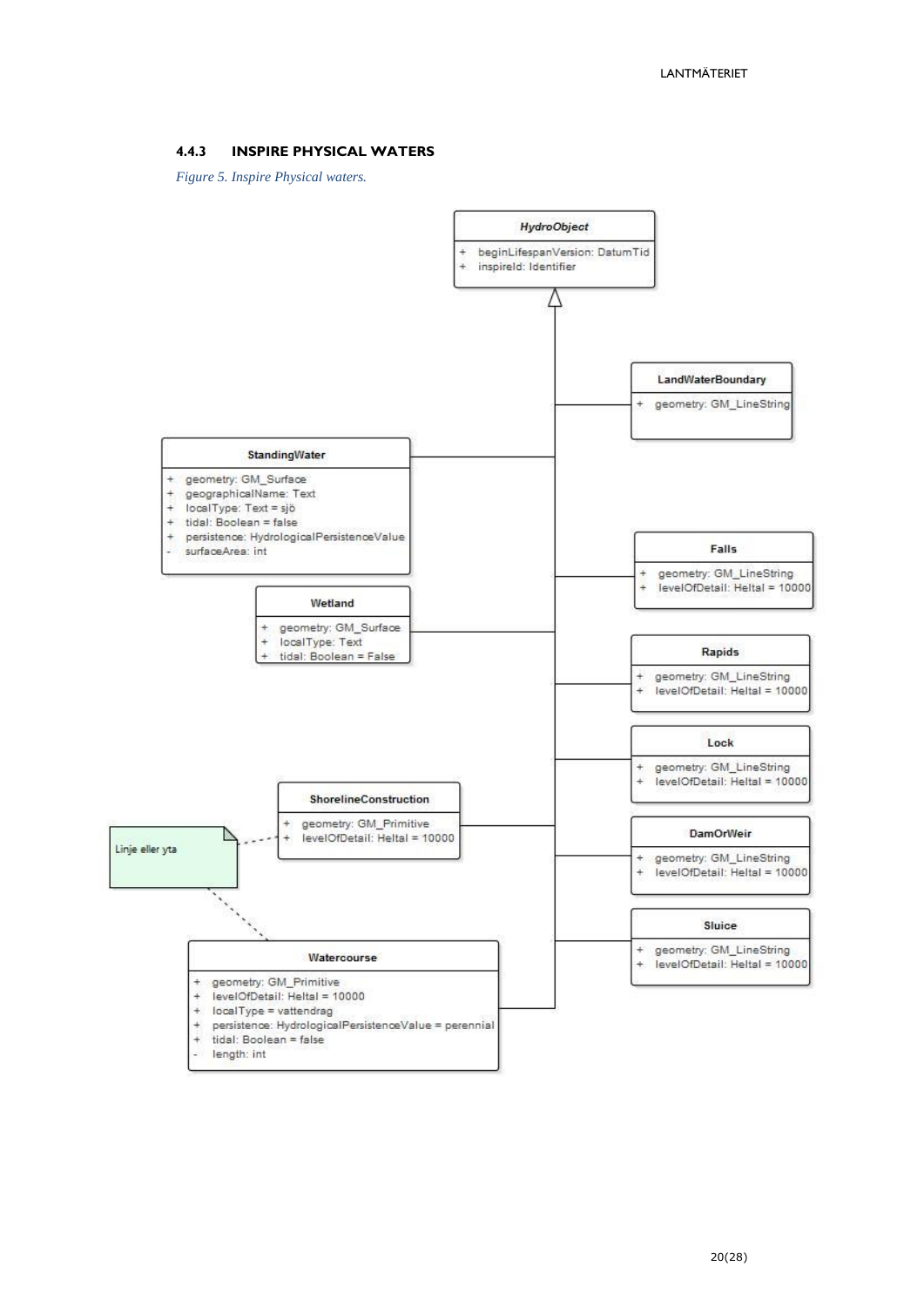#### <span id="page-19-0"></span>**4.4.3 INSPIRE PHYSICAL WATERS**

*Figure 5. Inspire Physical waters.*

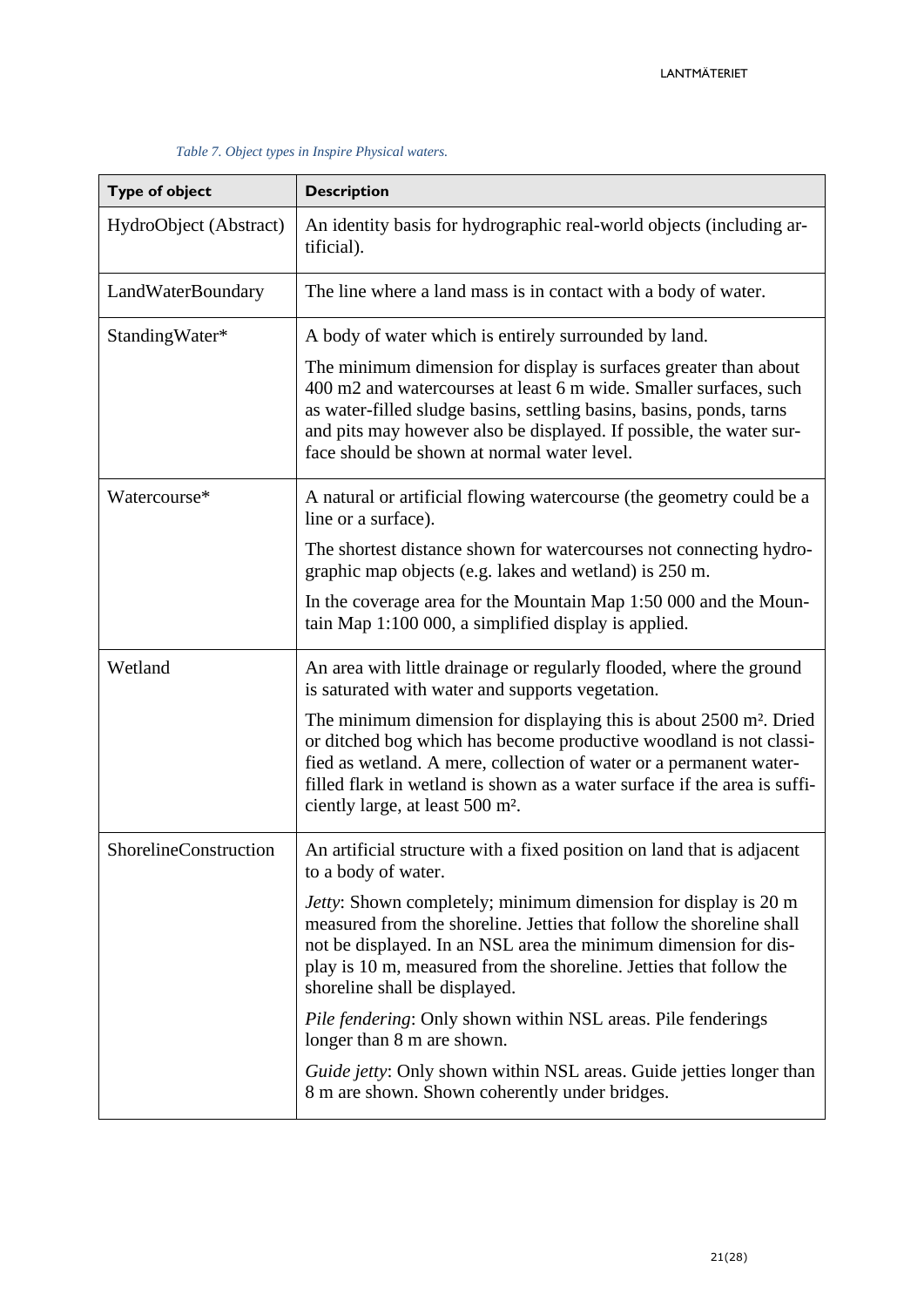| <b>Type of object</b>  | <b>Description</b>                                                                                                                                                                                                                                                                                                                                      |
|------------------------|---------------------------------------------------------------------------------------------------------------------------------------------------------------------------------------------------------------------------------------------------------------------------------------------------------------------------------------------------------|
| HydroObject (Abstract) | An identity basis for hydrographic real-world objects (including ar-<br>tificial).                                                                                                                                                                                                                                                                      |
| LandWaterBoundary      | The line where a land mass is in contact with a body of water.                                                                                                                                                                                                                                                                                          |
| StandingWater*         | A body of water which is entirely surrounded by land.                                                                                                                                                                                                                                                                                                   |
|                        | The minimum dimension for display is surfaces greater than about<br>400 m2 and watercourses at least 6 m wide. Smaller surfaces, such<br>as water-filled sludge basins, settling basins, basins, ponds, tarns<br>and pits may however also be displayed. If possible, the water sur-<br>face should be shown at normal water level.                     |
| Watercourse*           | A natural or artificial flowing watercourse (the geometry could be a<br>line or a surface).                                                                                                                                                                                                                                                             |
|                        | The shortest distance shown for watercourses not connecting hydro-<br>graphic map objects (e.g. lakes and wetland) is 250 m.                                                                                                                                                                                                                            |
|                        | In the coverage area for the Mountain Map 1:50 000 and the Moun-<br>tain Map 1:100 000, a simplified display is applied.                                                                                                                                                                                                                                |
| Wetland                | An area with little drainage or regularly flooded, where the ground<br>is saturated with water and supports vegetation.                                                                                                                                                                                                                                 |
|                        | The minimum dimension for displaying this is about 2500 m <sup>2</sup> . Dried<br>or ditched bog which has become productive woodland is not classi-<br>fied as wetland. A mere, collection of water or a permanent water-<br>filled flark in wetland is shown as a water surface if the area is suffi-<br>ciently large, at least 500 m <sup>2</sup> . |
| ShorelineConstruction  | An artificial structure with a fixed position on land that is adjacent<br>to a body of water.                                                                                                                                                                                                                                                           |
|                        | <i>Jetty</i> : Shown completely; minimum dimension for display is 20 m<br>measured from the shoreline. Jetties that follow the shoreline shall<br>not be displayed. In an NSL area the minimum dimension for dis-<br>play is 10 m, measured from the shoreline. Jetties that follow the<br>shoreline shall be displayed.                                |
|                        | <i>Pile fendering:</i> Only shown within NSL areas. Pile fenderings<br>longer than 8 m are shown.                                                                                                                                                                                                                                                       |
|                        | <i>Guide jetty:</i> Only shown within NSL areas. Guide jetties longer than<br>8 m are shown. Shown coherently under bridges.                                                                                                                                                                                                                            |

#### *Table 7. Object types in Inspire Physical waters.*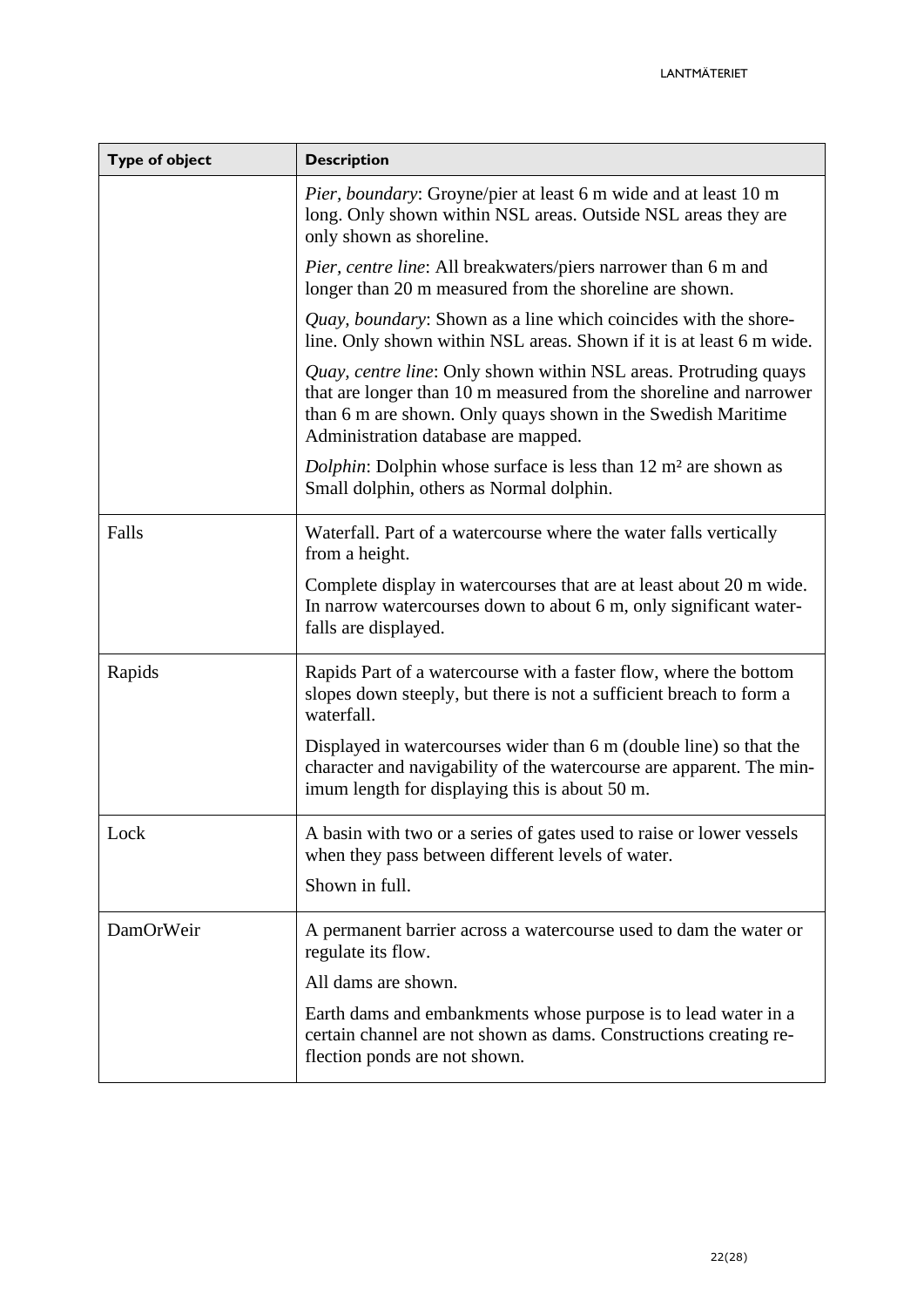| <b>Type of object</b> | <b>Description</b>                                                                                                                                                                                                                            |
|-----------------------|-----------------------------------------------------------------------------------------------------------------------------------------------------------------------------------------------------------------------------------------------|
|                       | Pier, boundary: Groyne/pier at least 6 m wide and at least 10 m<br>long. Only shown within NSL areas. Outside NSL areas they are<br>only shown as shoreline.                                                                                  |
|                       | <i>Pier, centre line:</i> All breakwaters/piers narrower than 6 m and<br>longer than 20 m measured from the shoreline are shown.                                                                                                              |
|                       | Quay, boundary: Shown as a line which coincides with the shore-<br>line. Only shown within NSL areas. Shown if it is at least 6 m wide.                                                                                                       |
|                       | Quay, centre line: Only shown within NSL areas. Protruding quays<br>that are longer than 10 m measured from the shoreline and narrower<br>than 6 m are shown. Only quays shown in the Swedish Maritime<br>Administration database are mapped. |
|                       | <i>Dolphin</i> : Dolphin whose surface is less than 12 m <sup>2</sup> are shown as<br>Small dolphin, others as Normal dolphin.                                                                                                                |
| Falls                 | Waterfall. Part of a watercourse where the water falls vertically<br>from a height.                                                                                                                                                           |
|                       | Complete display in watercourses that are at least about 20 m wide.<br>In narrow watercourses down to about 6 m, only significant water-<br>falls are displayed.                                                                              |
| Rapids                | Rapids Part of a watercourse with a faster flow, where the bottom<br>slopes down steeply, but there is not a sufficient breach to form a<br>waterfall.                                                                                        |
|                       | Displayed in watercourses wider than 6 m (double line) so that the<br>character and navigability of the watercourse are apparent. The min-<br>imum length for displaying this is about 50 m.                                                  |
| Lock                  | A basin with two or a series of gates used to raise or lower vessels<br>when they pass between different levels of water.<br>Shown in full.                                                                                                   |
|                       |                                                                                                                                                                                                                                               |
| DamOrWeir             | A permanent barrier across a watercourse used to dam the water or<br>regulate its flow.                                                                                                                                                       |
|                       | All dams are shown.                                                                                                                                                                                                                           |
|                       | Earth dams and embankments whose purpose is to lead water in a<br>certain channel are not shown as dams. Constructions creating re-<br>flection ponds are not shown.                                                                          |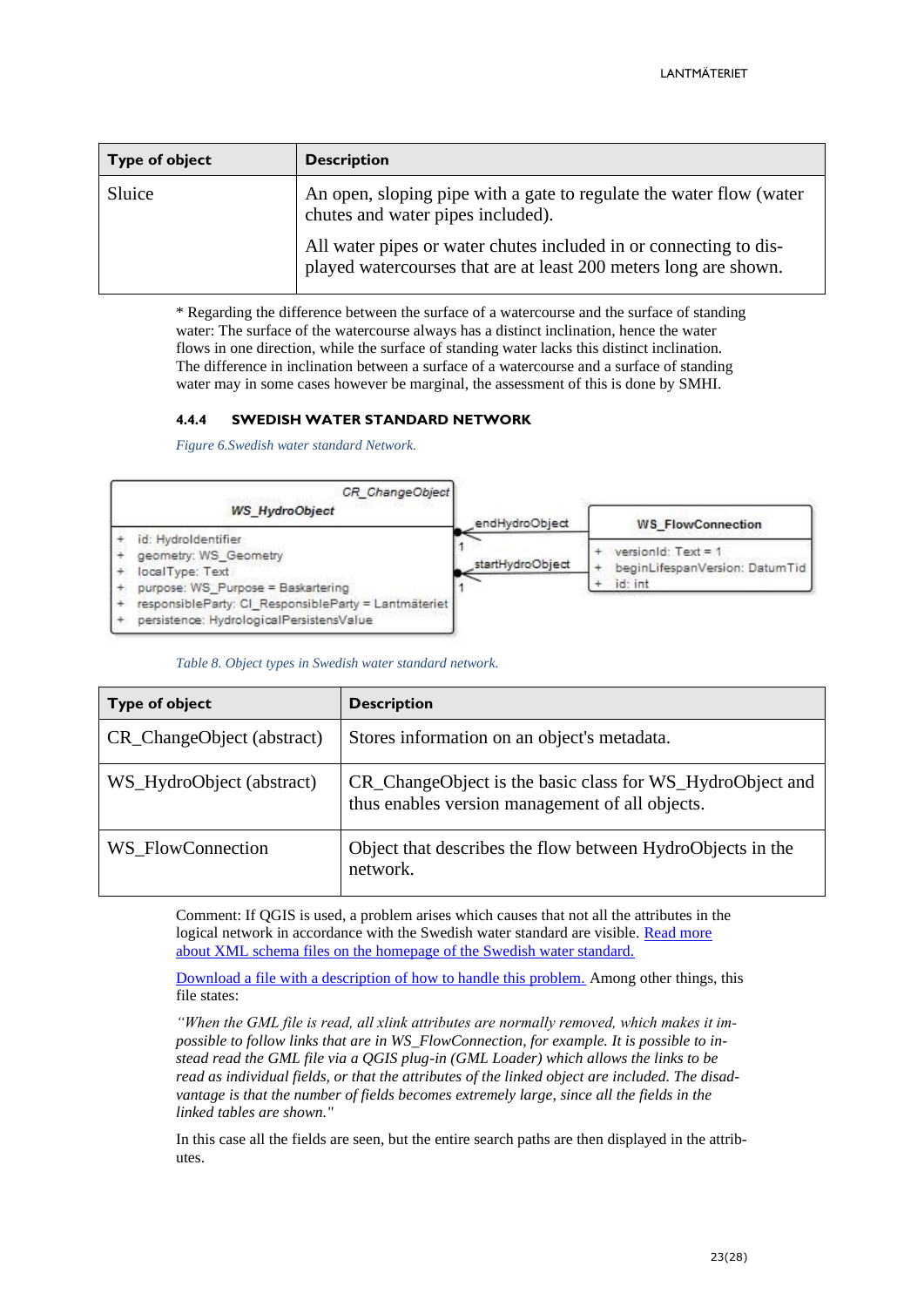| <b>Type of object</b> | <b>Description</b>                                                                                                                    |
|-----------------------|---------------------------------------------------------------------------------------------------------------------------------------|
| Sluice                | An open, sloping pipe with a gate to regulate the water flow (water<br>chutes and water pipes included).                              |
|                       | All water pipes or water chutes included in or connecting to dis-<br>played watercourses that are at least 200 meters long are shown. |

\* Regarding the difference between the surface of a watercourse and the surface of standing water: The surface of the watercourse always has a distinct inclination, hence the water flows in one direction, while the surface of standing water lacks this distinct inclination. The difference in inclination between a surface of a watercourse and a surface of standing water may in some cases however be marginal, the assessment of this is done by SMHI.

#### <span id="page-22-0"></span>**4.4.4 SWEDISH WATER STANDARD NETWORK**

*Figure 6.Swedish water standard Network.*

| <b>WS HydroObject</b>                                                                                 | CR ChangeObject<br>endHydroObject | <b>WS FlowConnection</b>                                         |
|-------------------------------------------------------------------------------------------------------|-----------------------------------|------------------------------------------------------------------|
| id: Hydroldentifier<br>geometry: WS Geometry<br>localType: Text<br>purpose: WS Purpose = Baskartering | startHydroObject                  | version d: Text = 1<br>beginLifespanVersion: DatumTid<br>id: int |
| responsibleParty: CI_ResponsibleParty = Lantmäteriet<br>persistence: HydrologicalPersistensValue      |                                   |                                                                  |

*Table 8. Object types in Swedish water standard network.*

| <b>Type of object</b>      | <b>Description</b>                                                                                           |
|----------------------------|--------------------------------------------------------------------------------------------------------------|
| CR_ChangeObject (abstract) | Stores information on an object's metadata.                                                                  |
| WS_HydroObject (abstract)  | CR_ChangeObject is the basic class for WS_HydroObject and<br>thus enables version management of all objects. |
| WS FlowConnection          | Object that describes the flow between HydroObjects in the<br>network.                                       |

Comment: If QGIS is used, a problem arises which causes that not all the attributes in the logical network in accordance with the Swedish water standard are visible. [Read more](http://resource.sgu.se/data/schemas/ss637008/)  [about XML schema files on the homepage of the Swedish water standard.](http://resource.sgu.se/data/schemas/ss637008/)

[Download a file with a description of how to handle this problem.](http://resource.sgu.se/data/schemas/ss637008/exempel/example.zip) Among other things, this file states:

*"When the GML file is read, all xlink attributes are normally removed, which makes it impossible to follow links that are in WS\_FlowConnection, for example. It is possible to instead read the GML file via a QGIS plug-in (GML Loader) which allows the links to be read as individual fields, or that the attributes of the linked object are included. The disadvantage is that the number of fields becomes extremely large, since all the fields in the linked tables are shown."*

In this case all the fields are seen, but the entire search paths are then displayed in the attributes.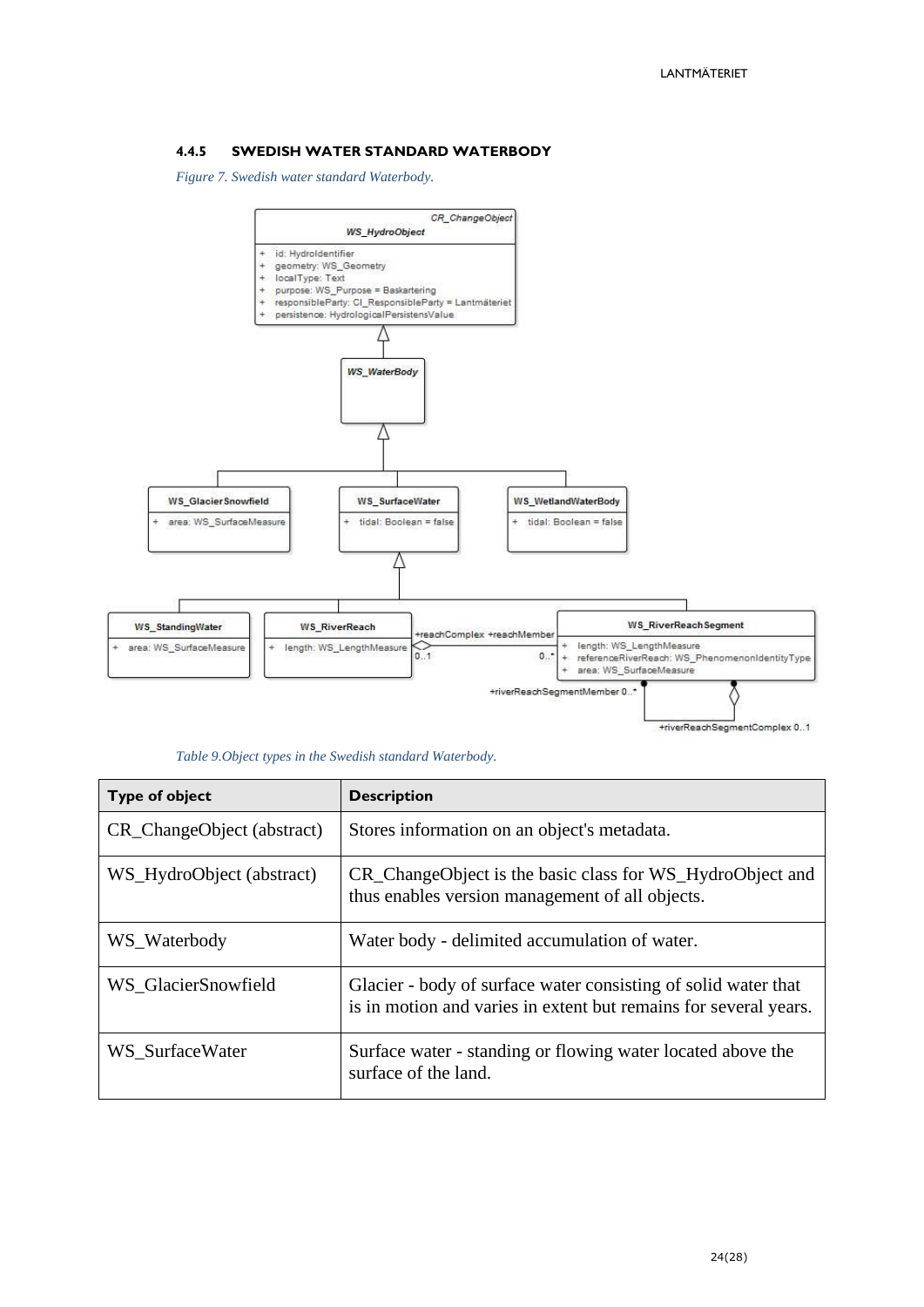#### <span id="page-23-0"></span>**4.4.5 SWEDISH WATER STANDARD WATERBODY**

*Figure 7. Swedish water standard Waterbody.*



| <b>Type of object</b>      | <b>Description</b>                                                                                                                 |
|----------------------------|------------------------------------------------------------------------------------------------------------------------------------|
| CR_ChangeObject (abstract) | Stores information on an object's metadata.                                                                                        |
| WS_HydroObject (abstract)  | CR_ChangeObject is the basic class for WS_HydroObject and<br>thus enables version management of all objects.                       |
| WS_Waterbody               | Water body - delimited accumulation of water.                                                                                      |
| WS_GlacierSnowfield        | Glacier - body of surface water consisting of solid water that<br>is in motion and varies in extent but remains for several years. |
| WS SurfaceWater            | Surface water - standing or flowing water located above the<br>surface of the land.                                                |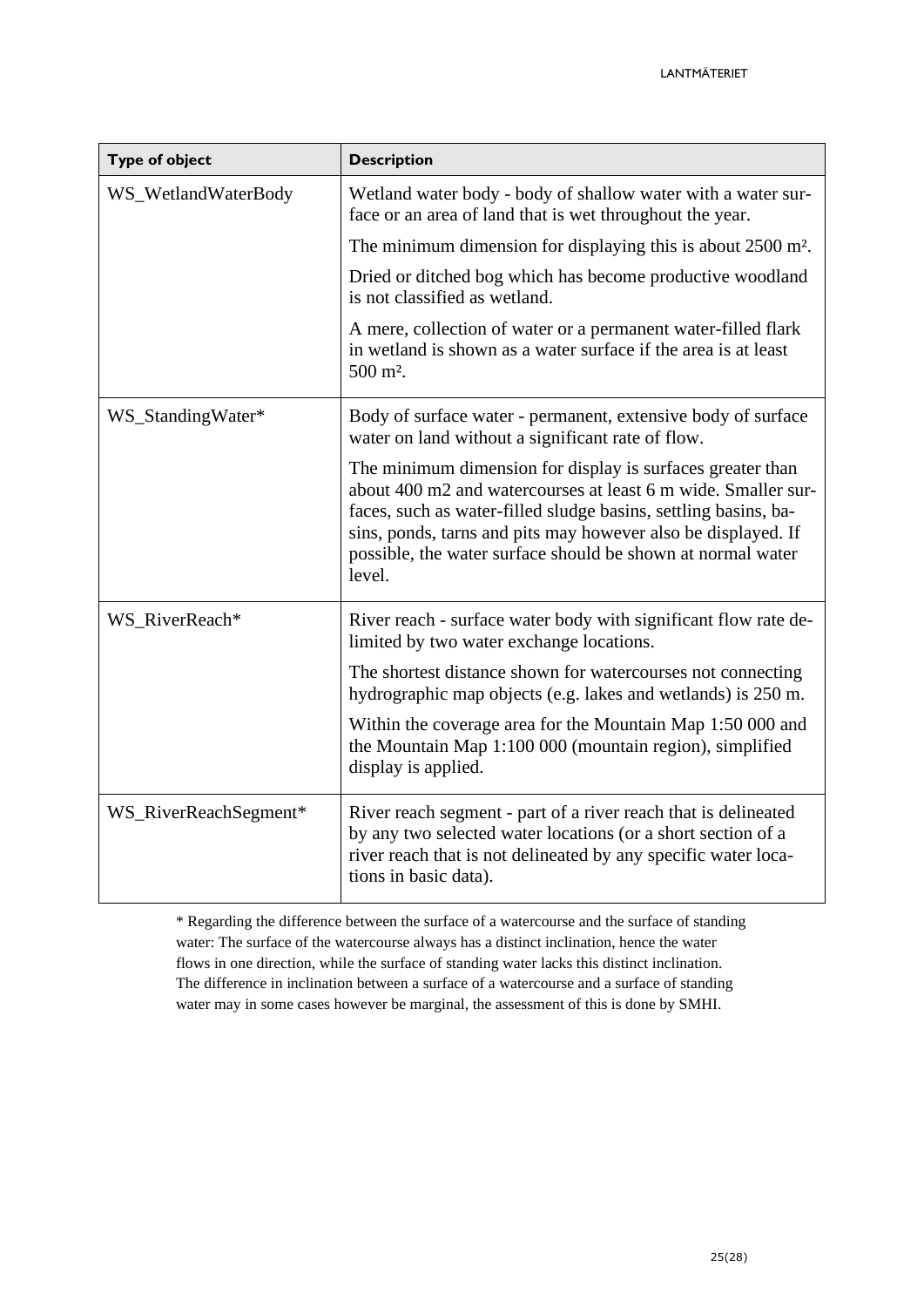| <b>Type of object</b> | <b>Description</b>                                                                                                                                                                                                                                                                                                                       |
|-----------------------|------------------------------------------------------------------------------------------------------------------------------------------------------------------------------------------------------------------------------------------------------------------------------------------------------------------------------------------|
| WS_WetlandWaterBody   | Wetland water body - body of shallow water with a water sur-<br>face or an area of land that is wet throughout the year.                                                                                                                                                                                                                 |
|                       | The minimum dimension for displaying this is about $2500$ m <sup>2</sup> .                                                                                                                                                                                                                                                               |
|                       | Dried or ditched bog which has become productive woodland<br>is not classified as wetland.                                                                                                                                                                                                                                               |
|                       | A mere, collection of water or a permanent water-filled flark<br>in wetland is shown as a water surface if the area is at least<br>$500 \text{ m}^2$ .                                                                                                                                                                                   |
| WS_StandingWater*     | Body of surface water - permanent, extensive body of surface<br>water on land without a significant rate of flow.                                                                                                                                                                                                                        |
|                       | The minimum dimension for display is surfaces greater than<br>about 400 m2 and watercourses at least 6 m wide. Smaller sur-<br>faces, such as water-filled sludge basins, settling basins, ba-<br>sins, ponds, tarns and pits may however also be displayed. If<br>possible, the water surface should be shown at normal water<br>level. |
| WS RiverReach*        | River reach - surface water body with significant flow rate de-<br>limited by two water exchange locations.                                                                                                                                                                                                                              |
|                       | The shortest distance shown for watercourses not connecting<br>hydrographic map objects (e.g. lakes and wetlands) is 250 m.                                                                                                                                                                                                              |
|                       | Within the coverage area for the Mountain Map 1:50 000 and<br>the Mountain Map 1:100 000 (mountain region), simplified<br>display is applied.                                                                                                                                                                                            |
| WS_RiverReachSegment* | River reach segment - part of a river reach that is delineated<br>by any two selected water locations (or a short section of a<br>river reach that is not delineated by any specific water loca-<br>tions in basic data).                                                                                                                |

\* Regarding the difference between the surface of a watercourse and the surface of standing water: The surface of the watercourse always has a distinct inclination, hence the water flows in one direction, while the surface of standing water lacks this distinct inclination. The difference in inclination between a surface of a watercourse and a surface of standing water may in some cases however be marginal, the assessment of this is done by SMHI.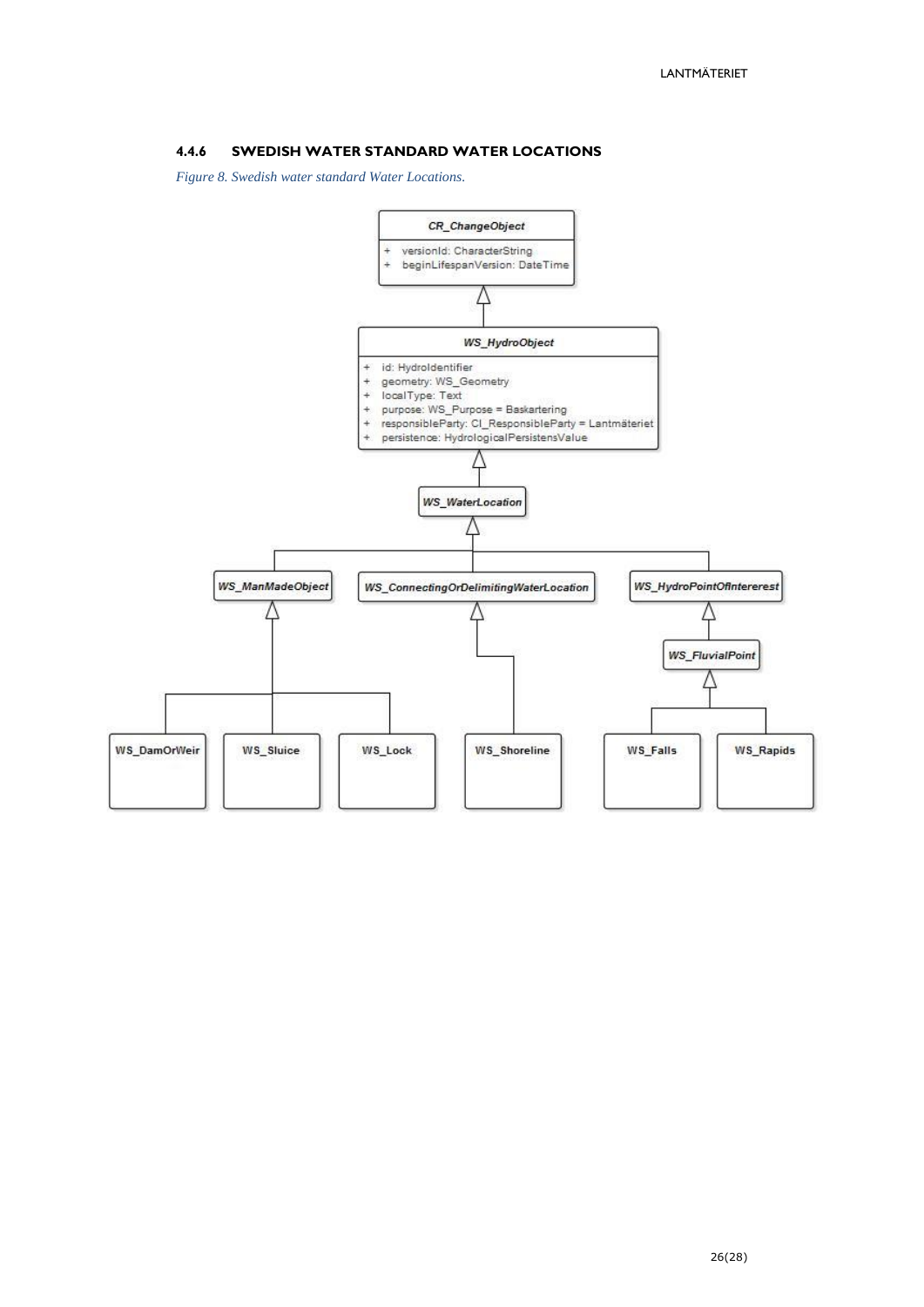#### <span id="page-25-0"></span>**4.4.6 SWEDISH WATER STANDARD WATER LOCATIONS**

*Figure 8. Swedish water standard Water Locations.*

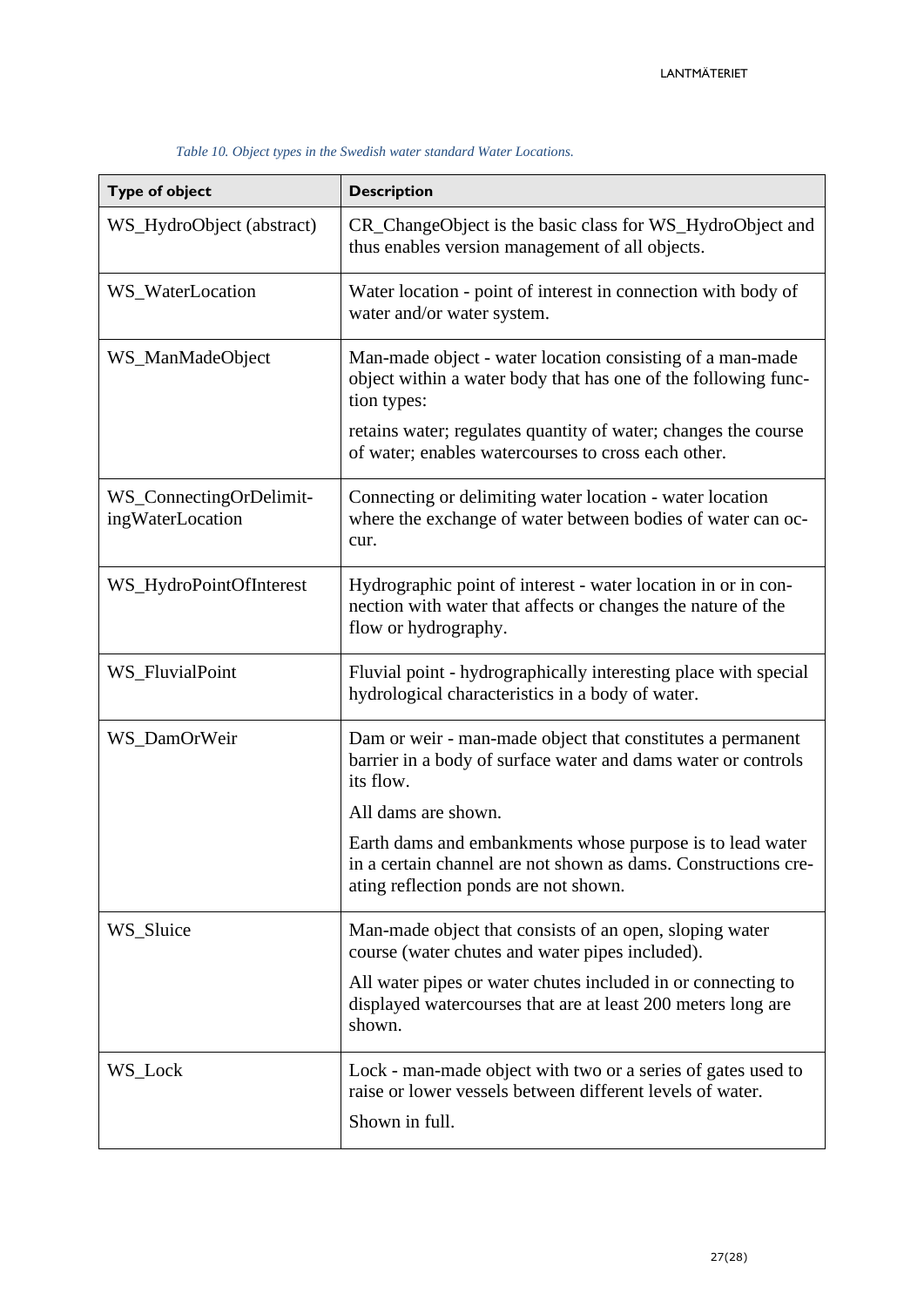| <b>Type of object</b>                       | <b>Description</b>                                                                                                                                                                                                                                                  |
|---------------------------------------------|---------------------------------------------------------------------------------------------------------------------------------------------------------------------------------------------------------------------------------------------------------------------|
| WS_HydroObject (abstract)                   | CR_ChangeObject is the basic class for WS_HydroObject and<br>thus enables version management of all objects.                                                                                                                                                        |
| WS_WaterLocation                            | Water location - point of interest in connection with body of<br>water and/or water system.                                                                                                                                                                         |
| WS_ManMadeObject                            | Man-made object - water location consisting of a man-made<br>object within a water body that has one of the following func-<br>tion types:<br>retains water; regulates quantity of water; changes the course<br>of water; enables watercourses to cross each other. |
| WS_ConnectingOrDelimit-<br>ingWaterLocation | Connecting or delimiting water location - water location<br>where the exchange of water between bodies of water can oc-<br>cur.                                                                                                                                     |
| WS_HydroPointOfInterest                     | Hydrographic point of interest - water location in or in con-<br>nection with water that affects or changes the nature of the<br>flow or hydrography.                                                                                                               |
| WS_FluvialPoint                             | Fluvial point - hydrographically interesting place with special<br>hydrological characteristics in a body of water.                                                                                                                                                 |
| WS_DamOrWeir                                | Dam or weir - man-made object that constitutes a permanent<br>barrier in a body of surface water and dams water or controls<br>its flow.                                                                                                                            |
|                                             | All dams are shown.                                                                                                                                                                                                                                                 |
|                                             | Earth dams and embankments whose purpose is to lead water<br>in a certain channel are not shown as dams. Constructions cre-<br>ating reflection ponds are not shown.                                                                                                |
| WS_Sluice                                   | Man-made object that consists of an open, sloping water<br>course (water chutes and water pipes included).                                                                                                                                                          |
|                                             | All water pipes or water chutes included in or connecting to<br>displayed watercourses that are at least 200 meters long are<br>shown.                                                                                                                              |
| WS_Lock                                     | Lock - man-made object with two or a series of gates used to<br>raise or lower vessels between different levels of water.<br>Shown in full.                                                                                                                         |

#### *Table 10. Object types in the Swedish water standard Water Locations.*